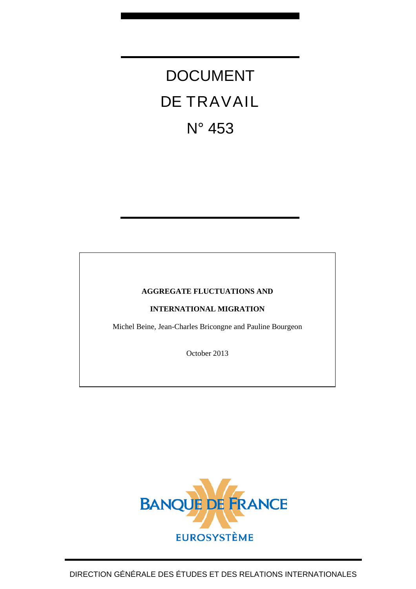# DOCUMENT DE TRAVAIL N° 453

#### **AGGREGATE FLUCTUATIONS AND**

**INTERNATIONAL MIGRATION** 

Michel Beine, Jean-Charles Bricongne and Pauline Bourgeon

October 2013

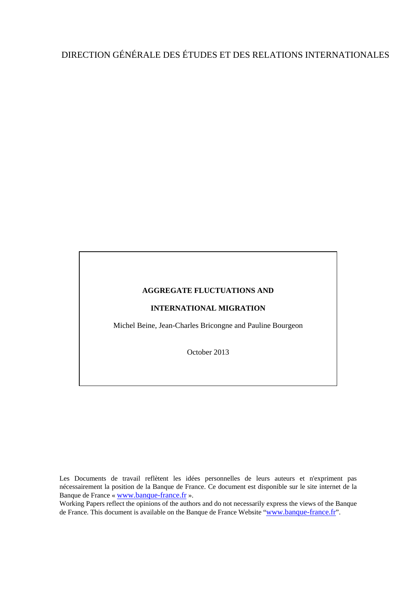## DIRECTION GÉNÉRALE DES ÉTUDES ET DES RELATIONS INTERNATIONALES

#### **AGGREGATE FLUCTUATIONS AND**

#### **INTERNATIONAL MIGRATION**

Michel Beine, Jean-Charles Bricongne and Pauline Bourgeon

October 2013

Les Documents de travail reflètent les idées personnelles de leurs auteurs et n'expriment pas nécessairement la position de la Banque de France. Ce document est disponible sur le site internet de la Banque de France « [www.banque-france.fr](http://www.banque-france.fr/) ».

Working Papers reflect the opinions of the authors and do not necessarily express the views of the Banque de France. This document is available on the Banque de France Website "[www.banque-france.fr](http://www.banque-france.fr/)".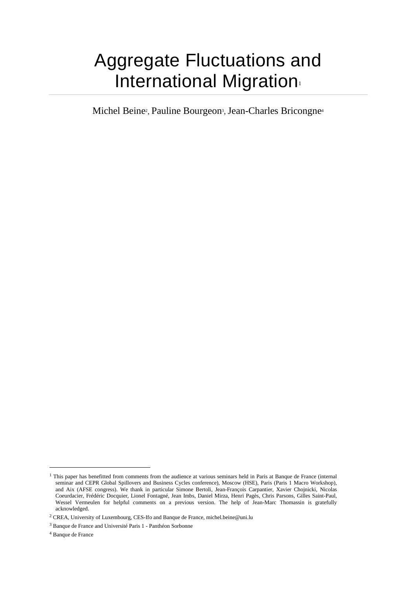# Aggregate Fluctuations and International Migration

Michel Beine<sup>2</sup>, Pauline Bourgeon<sup>3</sup>, Jean-Charles Bricongne<sup>4</sup>

 $\overline{a}$ 

<sup>&</sup>lt;sup>1</sup> This paper has benefitted from comments from the audience at various seminars held in Paris at Banque de France (internal seminar and CEPR Global Spillovers and Business Cycles conference), Moscow (HSE), Paris (Paris 1 Macro Workshop), and Aix (AFSE congress). We thank in particular Simone Bertoli, Jean-François Carpantier, Xavier Chojnicki, Nicolas Coeurdacier, Frédéric Docquier, Lionel Fontagné, Jean Imbs, Daniel Mirza, Henri Pagès, Chris Parsons, Gilles Saint-Paul, Wessel Vermeulen for helpful comments on a previous version. The help of Jean-Marc Thomassin is gratefully acknowledged.

<sup>&</sup>lt;sup>2</sup> CREA, University of Luxembourg, CES-Ifo and Banque de France, michel.beine@uni.lu

<sup>&</sup>lt;sup>3</sup> Banque de France and Université Paris 1 - Panthéon Sorbonne

<sup>4</sup> Banque de France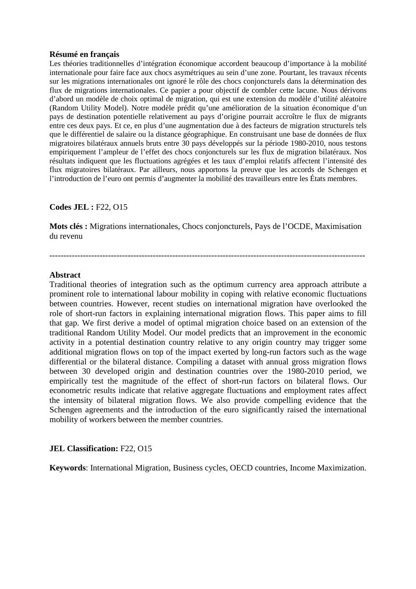#### **Résumé en français**

Les théories traditionnelles d'intégration économique accordent beaucoup d'importance à la mobilité internationale pour faire face aux chocs asymétriques au sein d'une zone. Pourtant, les travaux récents sur les migrations internationales ont ignoré le rôle des chocs conjoncturels dans la détermination des flux de migrations internationales. Ce papier a pour objectif de combler cette lacune. Nous dérivons d'abord un modèle de choix optimal de migration, qui est une extension du modèle d'utilité aléatoire (Random Utility Model). Notre modèle prédit qu'une amélioration de la situation économique d'un pays de destination potentielle relativement au pays d'origine pourrait accroître le flux de migrants entre ces deux pays. Et ce, en plus d'une augmentation due à des facteurs de migration structurels tels que le différentiel de salaire ou la distance géographique. En construisant une base de données de flux migratoires bilatéraux annuels bruts entre 30 pays développés sur la période 1980-2010, nous testons empiriquement l'ampleur de l'effet des chocs conjoncturels sur les flux de migration bilatéraux. Nos résultats indiquent que les fluctuations agrégées et les taux d'emploi relatifs affectent l'intensité des flux migratoires bilatéraux. Par ailleurs, nous apportons la preuve que les accords de Schengen et l'introduction de l'euro ont permis d'augmenter la mobilité des travailleurs entre les États membres.

#### **Codes JEL :** F22, O15

**Mots clés :** Migrations internationales, Chocs conjoncturels, Pays de l'OCDE, Maximisation du revenu

-----------------------------------------------------------------------------------------------------------------

#### **Abstract**

Traditional theories of integration such as the optimum currency area approach attribute a prominent role to international labour mobility in coping with relative economic fluctuations between countries. However, recent studies on international migration have overlooked the role of short-run factors in explaining international migration flows. This paper aims to fill that gap. We first derive a model of optimal migration choice based on an extension of the traditional Random Utility Model. Our model predicts that an improvement in the economic activity in a potential destination country relative to any origin country may trigger some additional migration flows on top of the impact exerted by long-run factors such as the wage differential or the bilateral distance. Compiling a dataset with annual gross migration flows between 30 developed origin and destination countries over the 1980-2010 period, we empirically test the magnitude of the effect of short-run factors on bilateral flows. Our econometric results indicate that relative aggregate fluctuations and employment rates affect the intensity of bilateral migration flows. We also provide compelling evidence that the Schengen agreements and the introduction of the euro significantly raised the international mobility of workers between the member countries.

#### **JEL Classification:** F22, O15

**Keywords**: International Migration, Business cycles, OECD countries, Income Maximization.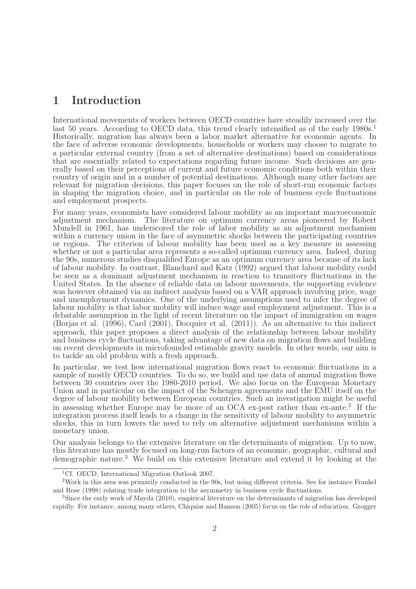## 1 Introduction

International movements of workers between OECD countries have steadily increased over the last 50 years. According to OECD data, this trend clearly intensified as of the early 1980s.<sup>1</sup> Historically, migration has always been a labor market alternative for economic agents. In the face of adverse economic developments, households or workers may choose to migrate to a particular external country (from a set of alternative destinations) based on considerations that are essentially related to expectations regarding future income. Such decisions are generally based on their perceptions of current and future economic conditions both within their country of origin and in a number of potential destinations. Although many other factors are relevant for migration decisions, this paper focuses on the role of short-run economic factors in shaping the migration choice, and in particular on the role of business cycle fluctuations and employment prospects.

For many years, economists have considered labour mobility as an important macroeconomic adjustment mechanism. The literature on optimum currency areas pioneered by Robert Mundell in 1961, has underscored the role of labor mobility as an adjustment mechanism within a currency union in the face of asymmetric shocks between the participating countries or regions. The criterion of labour mobility has been used as a key measure in assessing whether or not a particular area represents a so-called optimum currency area. Indeed, during the 90s, numerous studies disqualified Europe as an optimum currency area because of its lack of labour mobility. In contrast, Blanchard and Katz (1992) argued that labour mobility could be seen as a dominant adjustment mechanism in reaction to transitory fluctuations in the United States. In the absence of reliable data on labour movements, the supporting evidence was however obtained via an indirect analysis based on a VAR approach involving price, wage and unemployment dynamics. One of the underlying assumptions used to infer the degree of labour mobility is that labor mobility will induce wage and employment adjustment. This is a debatable assumption in the light of recent literature on the impact of immigration on wages (Borjas et al. (1996), Card (2001), Docquier et al. (2011)). As an alternative to this indirect approach, this paper proposes a direct analysis of the relationship between labour mobility and business cycle fluctuations, taking advantage of new data on migration flows and building on recent developments in microfounded estimable gravity models. In other words, our aim is to tackle an old problem with a fresh approach.

In particular, we test how international migration flows react to economic fluctuations in a sample of mostly OECD countries. To do so, we build and use data of annual migration flows between 30 countries over the 1980-2010 period. We also focus on the European Monetary Union and in particular on the impact of the Schengen agreements and the EMU itself on the degree of labour mobility between European countries. Such an investigation might be useful in assessing whether Europe may be more of an OCA ex-post rather than ex-ante.<sup>2</sup> If the integration process itself leads to a change in the sensitivity of labour mobility to asymmetric shocks, this in turn lowers the need to rely on alternative adjustment mechanisms within a monetary union.

Our analysis belongs to the extensive literature on the determinants of migration. Up to now, this literature has mostly focused on long-run factors of an economic, geographic, cultural and demographic nature.<sup>3</sup> We build on this extensive literature and extend it by looking at the

<sup>&</sup>lt;sup>1</sup>Cf. OECD, International Migration Outlook 2007.

<sup>2</sup>Work in this area was primarily conducted in the 90s, but using different criteria. See for instance Frankel and Rose (1998) relating trade integration to the asymmetry in business cycle fluctuations.

<sup>3</sup>Since the early work of Mayda (2010), empirical literature on the determinants of migration has developed rapidly. For instance, among many others, Chiquiar and Hanson (2005) focus on the role of education. Grogger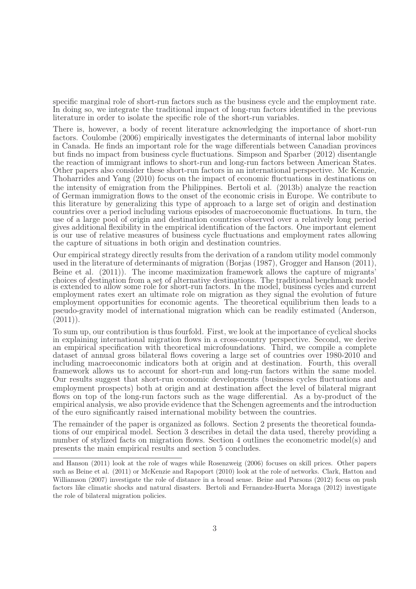specific marginal role of short-run factors such as the business cycle and the employment rate. In doing so, we integrate the traditional impact of long-run factors identified in the previous literature in order to isolate the specific role of the short-run variables.

There is, however, a body of recent literature acknowledging the importance of short-run factors. Coulombe (2006) empirically investigates the determinants of internal labor mobility in Canada. He finds an important role for the wage differentials between Canadian provinces but finds no impact from business cycle fluctuations. Simpson and Sparber (2012) disentangle the reaction of immigrant inflows to short-run and long-run factors between American States. Other papers also consider these short-run factors in an international perspective. Mc Kenzie, Thoharrides and Yang (2010) focus on the impact of economic fluctuations in destinations on the intensity of emigration from the Philippines. Bertoli et al. (2013b) analyze the reaction of German immigration flows to the onset of the economic crisis in Europe. We contribute to this literature by generalizing this type of approach to a large set of origin and destination countries over a period including various episodes of macroeconomic fluctuations. In turn, the use of a large pool of origin and destination countries observed over a relatively long period gives additional flexibility in the empirical identification of the factors. One important element is our use of relative measures of business cycle fluctuations and employment rates allowing the capture of situations in both origin and destination countries.

Our empirical strategy directly results from the derivation of a random utility model commonly used in the literature of determinants of migration (Borjas (1987), Grogger and Hanson (2011), Beine et al. (2011)). The income maximization framework allows the capture of migrants' choices of destination from a set of alternative destinations. The traditional benchmark model is extended to allow some role for short-run factors. In the model, business cycles and current employment rates exert an ultimate role on migration as they signal the evolution of future employment opportunities for economic agents. The theoretical equilibrium then leads to a pseudo-gravity model of international migration which can be readily estimated (Anderson,  $(2011)$ .

To sum up, our contribution is thus fourfold. First, we look at the importance of cyclical shocks in explaining international migration flows in a cross-country perspective. Second, we derive an empirical specification with theoretical microfoundations. Third, we compile a complete dataset of annual gross bilateral flows covering a large set of countries over 1980-2010 and including macroeconomic indicators both at origin and at destination. Fourth, this overall framework allows us to account for short-run and long-run factors within the same model. Our results suggest that short-run economic developments (business cycles fluctuations and employment prospects) both at origin and at destination affect the level of bilateral migrant flows on top of the long-run factors such as the wage differential. As a by-product of the empirical analysis, we also provide evidence that the Schengen agreements and the introduction of the euro significantly raised international mobility between the countries.

The remainder of the paper is organized as follows. Section 2 presents the theoretical foundations of our empirical model. Section 3 describes in detail the data used, thereby providing a number of stylized facts on migration flows. Section 4 outlines the econometric model(s) and presents the main empirical results and section 5 concludes.

and Hanson (2011) look at the role of wages while Rosenzweig (2006) focuses on skill prices. Other papers such as Beine et al. (2011) or McKenzie and Rapoport (2010) look at the role of networks. Clark, Hatton and Williamson (2007) investigate the role of distance in a broad sense. Beine and Parsons (2012) focus on push factors like climatic shocks and natural disasters. Bertoli and Fernandez-Huerta Moraga (2012) investigate the role of bilateral migration policies.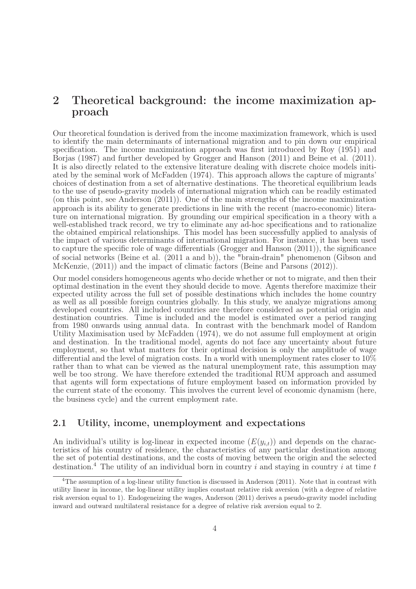## 2 Theoretical background: the income maximization approach

Our theoretical foundation is derived from the income maximization framework, which is used to identify the main determinants of international migration and to pin down our empirical specification. The income maximization approach was first introduced by Roy (1951) and Borjas (1987) and further developed by Grogger and Hanson (2011) and Beine et al. (2011). It is also directly related to the extensive literature dealing with discrete choice models initiated by the seminal work of McFadden (1974). This approach allows the capture of migrants' choices of destination from a set of alternative destinations. The theoretical equilibrium leads to the use of pseudo-gravity models of international migration which can be readily estimated (on this point, see Anderson (2011)). One of the main strengths of the income maximization approach is its ability to generate predictions in line with the recent (macro-economic) literature on international migration. By grounding our empirical specification in a theory with a well-established track record, we try to eliminate any ad-hoc specifications and to rationalize the obtained empirical relationships. This model has been successfully applied to analysis of the impact of various determinants of international migration. For instance, it has been used to capture the specific role of wage differentials (Grogger and Hanson (2011)), the significance of social networks (Beine et al. (2011 a and b)), the "brain-drain" phenomenon (Gibson and McKenzie, (2011)) and the impact of climatic factors (Beine and Parsons (2012)).

Our model considers homogeneous agents who decide whether or not to migrate, and then their optimal destination in the event they should decide to move. Agents therefore maximize their expected utility across the full set of possible destinations which includes the home country as well as all possible foreign countries globally. In this study, we analyze migrations among developed countries. All included countries are therefore considered as potential origin and destination countries. Time is included and the model is estimated over a period ranging from 1980 onwards using annual data. In contrast with the benchmark model of Random Utility Maximisation used by McFadden (1974), we do not assume full employment at origin and destination. In the traditional model, agents do not face any uncertainty about future employment, so that what matters for their optimal decision is only the amplitude of wage differential and the level of migration costs. In a world with unemployment rates closer to 10% rather than to what can be viewed as the natural unemployment rate, this assumption may well be too strong. We have therefore extended the traditional RUM approach and assumed that agents will form expectations of future employment based on information provided by the current state of the economy. This involves the current level of economic dynamism (here, the business cycle) and the current employment rate.

#### 2.1 Utility, income, unemployment and expectations

An individual's utility is log-linear in expected income  $(E(y_{i,t}))$  and depends on the characteristics of his country of residence, the characteristics of any particular destination among the set of potential destinations, and the costs of moving between the origin and the selected destination.<sup>4</sup> The utility of an individual born in country i and staying in country i at time t

<sup>4</sup>The assumption of a log-linear utility function is discussed in Anderson (2011). Note that in contrast with utility linear in income, the log-linear utility implies constant relative risk aversion (with a degree of relative risk aversion equal to 1). Endogeneizing the wages, Anderson (2011) derives a pseudo-gravity model including inward and outward multilateral resistance for a degree of relative risk aversion equal to 2.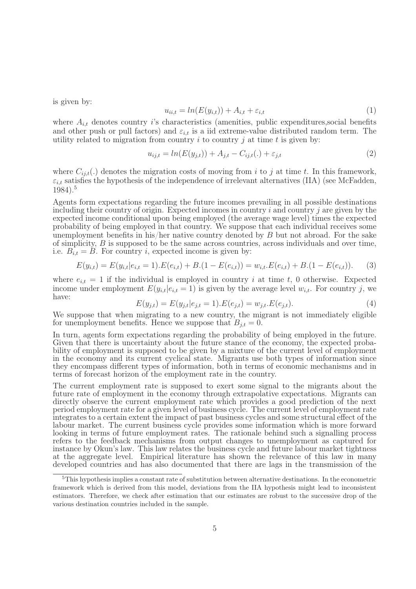is given by:

$$
u_{ii,t} = ln(E(y_{i,t})) + A_{i,t} + \varepsilon_{i,t}
$$
\n<sup>(1)</sup>

where  $A_{i,t}$  denotes country *i*'s characteristics (amenities, public expenditures, social benefits and other push or pull factors) and  $\varepsilon_{i,t}$  is a iid extreme-value distributed random term. The utility related to migration from country i to country j at time t is given by:

$$
u_{ij,t} = ln(E(y_{j,t})) + A_{j,t} - C_{ij,t}(.) + \varepsilon_{j,t}
$$
\n
$$
(2)
$$

where  $C_{ij,t}$ .) denotes the migration costs of moving from i to j at time t. In this framework,  $\varepsilon_{i,t}$  satisfies the hypothesis of the independence of irrelevant alternatives (IIA) (see McFadden, 1984).<sup>5</sup>

Agents form expectations regarding the future incomes prevailing in all possible destinations including their country of origin. Expected incomes in country  $i$  and country  $j$  are given by the expected income conditional upon being employed (the average wage level) times the expected probability of being employed in that country. We suppose that each individual receives some unemployment benefits in his/her native country denoted by  $B$  but not abroad. For the sake of simplicity,  $B$  is supposed to be the same across countries, across individuals and over time, i.e.  $B_{i,t} = B$ . For country i, expected income is given by:

$$
E(y_{i,t}) = E(y_{i,t}|e_{i,t} = 1).E(e_{i,t}) + B.(1 - E(e_{i,t})) = w_{i,t}.E(e_{i,t}) + B.(1 - E(e_{i,t})).
$$
 (3)

where  $e_{i,t} = 1$  if the individual is employed in country i at time t, 0 otherwise. Expected income under employment  $E(y_{i,t}|e_{i,t} = 1)$  is given by the average level  $w_{i,t}$ . For country j, we have:

$$
E(y_{j,t}) = E(y_{j,t}|e_{j,t} = 1).E(e_{j,t}) = w_{j,t}.E(e_{j,t}).
$$
\n(4)

We suppose that when migrating to a new country, the migrant is not immediately eligible for unemployment benefits. Hence we suppose that  $B_{i,t} = 0$ .

In turn, agents form expectations regarding the probability of being employed in the future. Given that there is uncertainty about the future stance of the economy, the expected probability of employment is supposed to be given by a mixture of the current level of employment in the economy and its current cyclical state. Migrants use both types of information since they encompass different types of information, both in terms of economic mechanisms and in terms of forecast horizon of the employment rate in the country.

The current employment rate is supposed to exert some signal to the migrants about the future rate of employment in the economy through extrapolative expectations. Migrants can directly observe the current employment rate which provides a good prediction of the next period employment rate for a given level of business cycle. The current level of employment rate integrates to a certain extent the impact of past business cycles and some structural effect of the labour market. The current business cycle provides some information which is more forward looking in terms of future employment rates. The rationale behind such a signalling process refers to the feedback mechanisms from output changes to unemployment as captured for instance by Okun's law. This law relates the business cycle and future labour market tightness at the aggregate level. Empirical literature has shown the relevance of this law in many developed countries and has also documented that there are lags in the transmission of the

<sup>5</sup>This hypothesis implies a constant rate of substitution between alternative destinations. In the econometric framework which is derived from this model, deviations from the IIA hypothesis might lead to inconsistent estimators. Therefore, we check after estimation that our estimates are robust to the successive drop of the various destination countries included in the sample.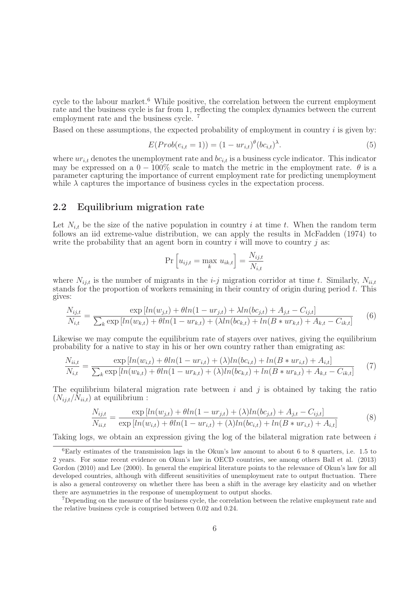cycle to the labour market.<sup>6</sup> While positive, the correlation between the current employment rate and the business cycle is far from 1, reflecting the complex dynamics between the current employment rate and the business cycle.<sup>7</sup>

Based on these assumptions, the expected probability of employment in country  $i$  is given by:

$$
E(Prob(e_{i,t} = 1)) = (1 - ur_{i,t})^{\theta} (bc_{i,t})^{\lambda}.
$$
\n(5)

where  $ur_{i,t}$  denotes the unemployment rate and  $bc_{i,t}$  is a business cycle indicator. This indicator may be expressed on a  $0 - 100\%$  scale to match the metric in the employment rate.  $\theta$  is a parameter capturing the importance of current employment rate for predicting unemployment while  $\lambda$  captures the importance of business cycles in the expectation process.

#### 2.2 Equilibrium migration rate

Let  $N_{i,t}$  be the size of the native population in country i at time t. When the random term follows an iid extreme-value distribution, we can apply the results in McFadden (1974) to write the probability that an agent born in country  $i$  will move to country  $j$  as:

$$
\Pr\left[u_{ij,t} = \max_{k} u_{ik,t}\right] = \frac{N_{ij,t}}{N_{i,t}}
$$

where  $N_{ij,t}$  is the number of migrants in the *i-j* migration corridor at time t. Similarly,  $N_{ii,t}$ stands for the proportion of workers remaining in their country of origin during period  $t$ . This gives:

$$
\frac{N_{ij,t}}{N_{i,t}} = \frac{\exp\left[ln(w_{j,t}) + \theta ln(1 - ur_{j,t}) + \lambda ln(bc_{j,t}) + A_{j,t} - C_{ij,t}\right]}{\sum_{k} \exp\left[ln(w_{k,t}) + \theta ln(1 - ur_{k,t}) + (\lambda ln(bc_{k,t}) + ln(B * ur_{k,t}) + A_{k,t} - C_{ik,t}\right]}
$$
(6)

Likewise we may compute the equilibrium rate of stayers over natives, giving the equilibrium probability for a native to stay in his or her own country rather than emigrating as:

$$
\frac{N_{ii,t}}{N_{i,t}} = \frac{\exp\left[ln(w_{i,t}) + \theta ln(1 - ur_{i,t}) + (\lambda)ln(bc_{i,t}) + ln(B * ur_{i,t}) + A_{i,t}\right]}{\sum_{k} \exp\left[ln(w_{k,t}) + \theta ln(1 - ur_{k,t}) + (\lambda)ln(bc_{k,t}) + ln(B * ur_{k,t}) + A_{k,t} - C_{ik,t}\right]}
$$
(7)

The equilibrium bilateral migration rate between  $i$  and  $j$  is obtained by taking the ratio  $(N_{i,i,t}/N_{i,i,t})$  at equilibrium :

$$
\frac{N_{ij,t}}{N_{ii,t}} = \frac{\exp\left[ln(w_{j,t}) + \theta ln(1 - ur_{j,t}) + (\lambda)ln(bc_{j,t}) + A_{j,t} - C_{ij,t}\right]}{\exp\left[ln(w_{i,t}) + \theta ln(1 - ur_{i,t}) + (\lambda)ln(bc_{i,t}) + ln(B * ur_{i,t}) + A_{i,t}\right]}
$$
(8)

Taking logs, we obtain an expression giving the log of the bilateral migration rate between i

 $6$ Early estimates of the transmission lags in the Okun's law amount to about 6 to 8 quarters, i.e. 1.5 to 2 years. For some recent evidence on Okun's law in OECD countries, see among others Ball et al. (2013) Gordon (2010) and Lee (2000). In general the empirical literature points to the relevance of Okun's law for all developed countries, although with different sensitivities of unemployment rate to output fluctuation. There is also a general controversy on whether there has been a shift in the average key elasticity and on whether there are asymmetries in the response of unemployment to output shocks.

<sup>&</sup>lt;sup>7</sup>Depending on the measure of the business cycle, the correlation between the relative employment rate and the relative business cycle is comprised between 0.02 and 0.24.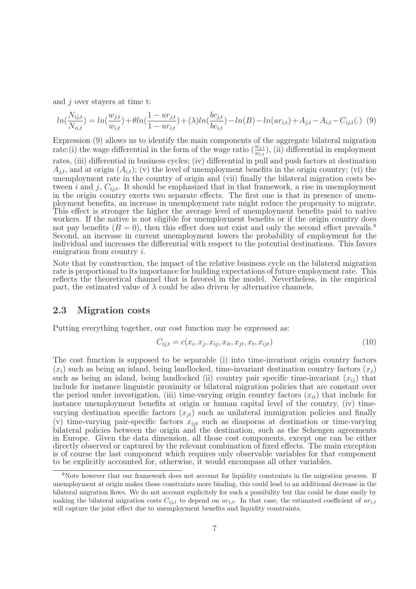and  $j$  over stayers at time t:

$$
ln(\frac{N_{ij,t}}{N_{ii,t}}) = ln(\frac{w_{j,t}}{w_{i,t}}) + \theta ln(\frac{1 - ur_{j,t}}{1 - ur_{i,t}}) + (\lambda)ln(\frac{bc_{j,t}}{bc_{i,t}}) - ln(B) - ln(ur_{i,t}) + A_{j,t} - A_{i,t} - C_{ij,t}(.)
$$
 (9)

Expression (9) allows us to identify the main components of the aggregate bilateral migration rate: (i) the wage differential in the form of the wage ratio  $(\frac{w_{j,t}}{w_{i,t}})$ , (ii) differential in employment rates, (iii) differential in business cycles; (iv) differential in pull and push factors at destination  $A_{i,t}$ , and at origin  $(A_{i,t})$ ; (v) the level of unemployment benefits in the origin country; (vi) the unemployment rate in the country of origin and (vii) finally the bilateral migration costs between i and j,  $C_{ij,t}$ . It should be emphasized that in that framework, a rise in unemployment in the origin country exerts two separate effects. The first one is that in presence of unemployment benefits, an increase in unemployment rate might reduce the propensity to migrate. This effect is stronger the higher the average level of unemployment benefits paid to native workers. If the native is not eligible for unemployment benefits or if the origin country does not pay benefits  $(B = 0)$ , then this effect does not exist and only the second effect prevails.<sup>8</sup> Second, an increase in current unemployment lowers the probability of employment for the individual and increases the differential with respect to the potential destinations. This favors emigration from country i.

Note that by construction, the impact of the relative business cycle on the bilateral migration rate is proportional to its importance for building expectations of future employment rate. This reflects the theoretical channel that is favored in the model. Nevertheless, in the empirical part, the estimated value of  $\lambda$  could be also driven by alternative channels.

#### 2.3 Migration costs

Putting everything together, our cost function may be expressed as:

$$
C_{ij,t} = c(x_i, x_j, x_{ij}, x_{it}, x_{jt}, x_t, x_{ijt})
$$
\n(10)

The cost function is supposed to be separable (i) into time-invariant origin country factors  $(x_i)$  such as being an island, being landlocked, time-invariant destination country factors  $(x_i)$ such as being an island, being landlocked (ii) country pair specific time-invariant  $(x_{ij})$  that include for instance linguistic proximity or bilateral migration policies that are constant over the period under investigation, (iii) time-varying origin country factors  $(x_{it})$  that include for instance unemployment benefits at origin or human capital level of the country, (iv) timevarying destination specific factors  $(x_{it})$  such as unilateral immigration policies and finally (v) time-varying pair-specific factors  $x_{ijt}$  such as diasporas at destination or time-varying bilateral policies between the origin and the destination, such as the Schengen agreements in Europe. Given the data dimension, all those cost components, except one can be either directly observed or captured by the relevant combination of fixed effects. The main exception is of course the last component which requires only observable variables for that component to be explicitly accounted for, otherwise, it would encompass all other variables.

<sup>&</sup>lt;sup>8</sup>Note however that our framework does not account for liquidity constraints in the migration process. If unemployment at origin makes those constraints more binding, this could lead to an additional decrease in the bilateral migration flows. We do not account explicitely for such a possibility but this could be done easily by making the bilateral migration costs  $C_{ij,t}$  to depend on  $ur_{i,t}$ . In that case, the estimated coefficient of  $ur_{i,t}$ will capture the joint effect due to unemployment benefits and liquidity constraints.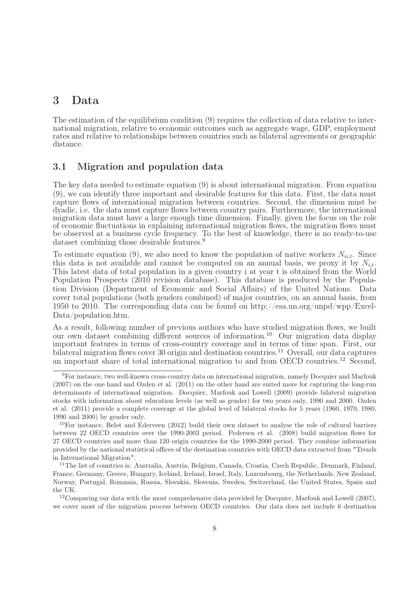## 3 Data

The estimation of the equilibrium condition (9) requires the collection of data relative to international migration, relative to economic outcomes such as aggregate wage, GDP, employment rates and relative to relationships between countries such as bilateral agreements or geographic distance.

#### 3.1 Migration and population data

The key data needed to estimate equation (9) is about international migration. From equation (9), we can identify three important and desirable features for this data. First, the data must capture flows of international migration between countries. Second, the dimension must be dyadic, i.e. the data must capture flows between country pairs. Furthermore, the international migration data must have a large enough time dimension. Finally, given the focus on the role of economic fluctuations in explaining international migration flows, the migration flows must be observed at a business cycle frequency. To the best of knowledge, there is no ready-to-use dataset combining those desirable features.<sup>9</sup>

To estimate equation (9), we also need to know the population of native workers  $N_{ii,t}$ . Since this data is not available and cannot be computed on an annual basis, we proxy it by  $N_{i,t}$ . This latest data of total population in a given country i at year t is obtained from the World Population Prospects (2010 revision database). This database is produced by the Population Division (Department of Economic and Social Affairs) of the United Nations. Data cover total populations (both genders combined) of major countries, on an annual basis, from 1950 to 2010. The corresponding data can be found on http://esa.un.org/unpd/wpp/Excel-Data/population.htm.

As a result, following number of previous authors who have studied migration flows, we built our own dataset combining different sources of information.<sup>10</sup> Our migration data display important features in terms of cross-country coverage and in terms of time span. First, our bilateral migration flows cover 30 origin and destination countries.<sup>11</sup> Overall, our data captures an important share of total international migration to and from OECD countries.<sup>12</sup> Second,

<sup>9</sup>For instance, two well-known cross-country data on international migration, namely Docquier and Marfouk (2007) on the one hand and Ozden et al. (2011) on the other hand are suited more for capturing the long-run determinants of international migration. Docquier, Marfouk and Lowell (2009) provide bilateral migration stocks with information about education levels (as well as gender) for two years only, 1990 and 2000. Ozden et al. (2011) provide a complete coverage at the global level of bilateral stocks for 5 years (1960, 1970, 1980, 1990 and 2000) by gender only.

 $10$ For instance, Belot and Ederveen (2012) build their own dataset to analyse the role of cultural barriers between 22 OECD countries over the 1990-2003 period. Pedersen et al. (2008) build migration flows for 27 OECD countries and more than 120 origin countries for the 1990-2000 period. They combine information provided by the national statistical offices of the destination countries with OECD data extracted from "Trends in International Migration".

<sup>&</sup>lt;sup>11</sup>The list of countries is: Australia, Austria, Belgium, Canada, Croatia, Czech Republic, Denmark, Finland, France, Germany, Greece, Hungary, Iceland, Ireland, Israel, Italy, Luxembourg, the Netherlands, New Zealand, Norway, Portugal, Romania, Russia, Slovakia, Slovenia, Sweden, Switzerland, the United States, Spain and the UK.

<sup>&</sup>lt;sup>12</sup>Comparing our data with the most comprehensive data provided by Docquier, Marfouk and Lowell (2007), we cover most of the migration process between OECD countries. Our data does not include 6 destination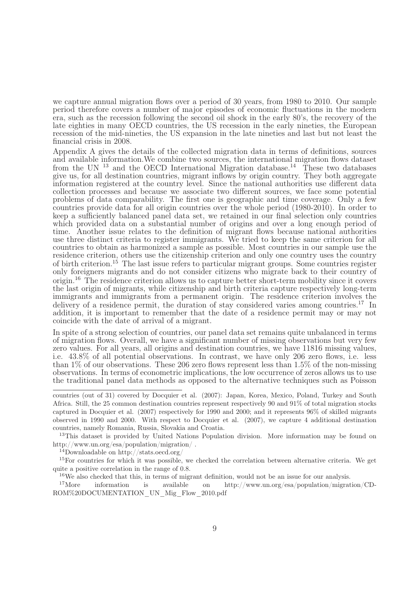we capture annual migration flows over a period of 30 years, from 1980 to 2010. Our sample period therefore covers a number of major episodes of economic fluctuations in the modern era, such as the recession following the second oil shock in the early 80's, the recovery of the late eighties in many OECD countries, the US recession in the early nineties, the European recession of the mid-nineties, the US expansion in the late nineties and last but not least the financial crisis in 2008.

Appendix A gives the details of the collected migration data in terms of definitions, sources and available information.We combine two sources, the international migration flows dataset from the UN  $^{13}$  and the OECD International Migration database.<sup>14</sup> These two databases give us, for all destination countries, migrant inflows by origin country. They both aggregate information registered at the country level. Since the national authorities use different data collection processes and because we associate two different sources, we face some potential problems of data comparability. The first one is geographic and time coverage. Only a few countries provide data for all origin countries over the whole period (1980-2010). In order to keep a sufficiently balanced panel data set, we retained in our final selection only countries which provided data on a substantial number of origins and over a long enough period of time. Another issue relates to the definition of migrant flows because national authorities use three distinct criteria to register immigrants. We tried to keep the same criterion for all countries to obtain as harmonized a sample as possible. Most countries in our sample use the residence criterion, others use the citizenship criterion and only one country uses the country of birth criterion.<sup>15</sup> The last issue refers to particular migrant groups. Some countries register only foreigners migrants and do not consider citizens who migrate back to their country of origin.<sup>16</sup> The residence criterion allows us to capture better short-term mobility since it covers the last origin of migrants, while citizenship and birth criteria capture respectively long-term immigrants and immigrants from a permanent origin. The residence criterion involves the delivery of a residence permit, the duration of stay considered varies among countries.<sup>17</sup> In addition, it is important to remember that the date of a residence permit may or may not coincide with the date of arrival of a migrant.

In spite of a strong selection of countries, our panel data set remains quite unbalanced in terms of migration flows. Overall, we have a significant number of missing observations but very few zero values. For all years, all origins and destination countries, we have 11816 missing values, i.e. 43.8% of all potential observations. In contrast, we have only 206 zero flows, i.e. less than 1% of our observations. These 206 zero flows represent less than 1.5% of the non-missing observations. In terms of econometric implications, the low occurrence of zeros allows us to use the traditional panel data methods as opposed to the alternative techniques such as Poisson

<sup>13</sup>This dataset is provided by United Nations Population division. More information may be found on http://www.un.org/esa/population/migration/ .

 $\rm ^{14}Downloadable$  on http://stats.oecd.org/

<sup>15</sup>For countries for which it was possible, we checked the correlation between alternative criteria. We get quite a positive correlation in the range of 0.8.

 $16$ We also checked that this, in terms of migrant definition, would not be an issue for our analysis.

<sup>17</sup>More information is available on http://www.un.org/esa/population/migration/CD-ROM%20DOCUMENTATION\_UN\_Mig\_Flow\_2010.pdf

countries (out of 31) covered by Docquier et al. (2007): Japan, Korea, Mexico, Poland, Turkey and South Africa. Still, the 25 common destination countries represent respectively 90 and 91% of total migration stocks captured in Docquier et al. (2007) respectively for 1990 and 2000; and it represents 96% of skilled migrants observed in 1990 and 2000. With respect to Docquier et al. (2007), we capture 4 additional destination countries, namely Romania, Russia, Slovakia and Croatia.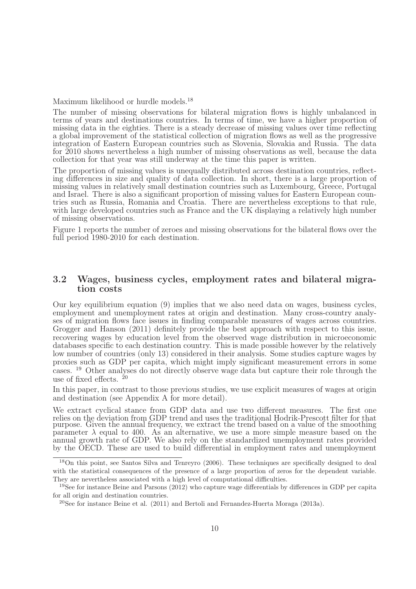Maximum likelihood or hurdle models.<sup>18</sup>

The number of missing observations for bilateral migration flows is highly unbalanced in terms of years and destinations countries. In terms of time, we have a higher proportion of missing data in the eighties. There is a steady decrease of missing values over time reflecting a global improvement of the statistical collection of migration flows as well as the progressive integration of Eastern European countries such as Slovenia, Slovakia and Russia. The data for 2010 shows nevertheless a high number of missing observations as well, because the data collection for that year was still underway at the time this paper is written.

The proportion of missing values is unequally distributed across destination countries, reflecting differences in size and quality of data collection. In short, there is a large proportion of missing values in relatively small destination countries such as Luxembourg, Greece, Portugal and Israel. There is also a significant proportion of missing values for Eastern European countries such as Russia, Romania and Croatia. There are nevertheless exceptions to that rule, with large developed countries such as France and the UK displaying a relatively high number of missing observations.

Figure 1 reports the number of zeroes and missing observations for the bilateral flows over the full period 1980-2010 for each destination.

#### 3.2 Wages, business cycles, employment rates and bilateral migration costs

Our key equilibrium equation (9) implies that we also need data on wages, business cycles, employment and unemployment rates at origin and destination. Many cross-country analyses of migration flows face issues in finding comparable measures of wages across countries. Grogger and Hanson (2011) definitely provide the best approach with respect to this issue, recovering wages by education level from the observed wage distribution in microeconomic databases specific to each destination country. This is made possible however by the relatively low number of countries (only 13) considered in their analysis. Some studies capture wages by proxies such as GDP per capita, which might imply significant measurement errors in some cases. <sup>19</sup> Other analyses do not directly observe wage data but capture their role through the use of fixed effects.  $^{20}$ 

In this paper, in contrast to those previous studies, we use explicit measures of wages at origin and destination (see Appendix A for more detail).

We extract cyclical stance from GDP data and use two different measures. The first one relies on the deviation from GDP trend and uses the traditional Hodrik-Prescott filter for that purpose. Given the annual frequency, we extract the trend based on a value of the smoothing parameter  $\lambda$  equal to 400. As an alternative, we use a more simple measure based on the annual growth rate of GDP. We also rely on the standardized unemployment rates provided by the OECD. These are used to build differential in employment rates and unemployment

<sup>18</sup>On this point, see Santos Silva and Tenreyro (2006). These techniques are specifically designed to deal with the statistical consequences of the presence of a large proportion of zeros for the dependent variable. They are nevertheless associated with a high level of computational difficulties.

<sup>19</sup>See for instance Beine and Parsons (2012) who capture wage differentials by differences in GDP per capita for all origin and destination countries.

<sup>&</sup>lt;sup>20</sup>See for instance Beine et al.  $(2011)$  and Bertoli and Fernandez-Huerta Moraga  $(2013a)$ .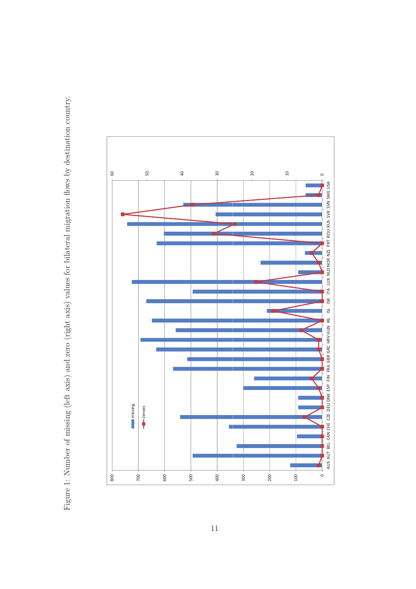

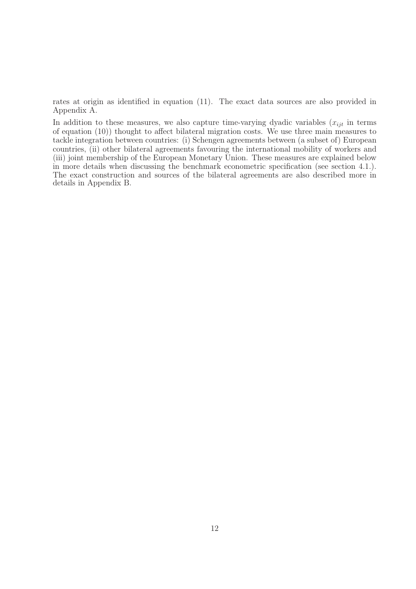rates at origin as identified in equation (11). The exact data sources are also provided in Appendix A.

In addition to these measures, we also capture time-varying dyadic variables  $(x_{ijt})$  in terms of equation (10)) thought to affect bilateral migration costs. We use three main measures to tackle integration between countries: (i) Schengen agreements between (a subset of) European countries, (ii) other bilateral agreements favouring the international mobility of workers and (iii) joint membership of the European Monetary Union. These measures are explained below in more details when discussing the benchmark econometric specification (see section 4.1.). The exact construction and sources of the bilateral agreements are also described more in details in Appendix B.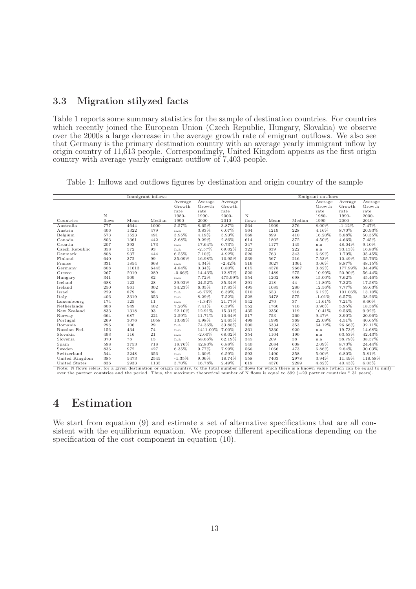#### 3.3 Migration stilyzed facts

Table 1 reports some summary statistics for the sample of destination countries. For countries which recently joined the European Union (Czech Republic, Hungary, Slovakia) we observe over the 2000s a large decrease in the average growth rate of emigrant outflows. We also see that Germany is the primary destination country with an average yearly immigrant inflow by origin country of 11,613 people. Correspondingly, United Kingdom appears as the first origin country with average yearly emigrant outflow of 7,403 people.

Table 1: Inflows and outflows figures by destination and origin country of the sample

|                |       |       | Immigrant inflows |          |           |          |       |      |        | Emigrant outflows |          |         |  |
|----------------|-------|-------|-------------------|----------|-----------|----------|-------|------|--------|-------------------|----------|---------|--|
|                |       |       |                   | Average  | Average   | Average  |       |      |        | Average           | Average  | Average |  |
|                |       |       |                   | Growth   | Growth    | Growth   |       |      |        | Growth            | Growth   | Growth  |  |
|                |       |       |                   | rate     | rate      | rate     |       |      |        | rate              | rate     | rate    |  |
|                | N     |       |                   | 1980-    | 1990-     | 2000-    | N     |      |        | 1980-             | 1990-    | 2000-   |  |
| Countries      | flows | Mean  | Median            | 1990     | 2000      | 2010     | flows | Mean | Median | 1990              | 2000     | 2010    |  |
| Australia      | 777   | 4644  | 1000              | 5.57%    | 8.65%     | 3.87%    | 564   | 1909 | 376    | 8.00%             | $-1.12%$ | 7.47%   |  |
| Austria        | 406   | 1322  | 479               | n.a      | 3.83%     | 6.07%    | 564   | 1219 | 228    | 4.16%             | 8.70%    | 20.93%  |  |
| Belgium        | 573   | 1523  | 491               | 3.95%    | 4.19%     | 5.93%    | 568   | 899  | 410    | 16.20%            | 5.88%    | 50.35%  |  |
| Canada         | 803   | 1361  | 442               | 3.68%    | 9.29%     | 2.86%    | 614   | 1802 | 372    | 4.50%             | 4.66%    | 7.45%   |  |
| Croatia        | 207   | 393   | 173               | n.a      | 17.64%    | 0.73%    | 347   | 1177 | 145    | n.a               | 48.04%   | 9.10%   |  |
| Czech Republic | 358   | 572   | 93                | n.a      | $-2.57%$  | 69.02%   | 322   | 839  | 222    | n.a               | 33.13%   | 16.80%  |  |
| Denmark        | 808   | 937   | 444               | 6.55%    | 7.10%     | 4.92%    | 526   | 763  | 343    | 6.69%             | 1.70%    | 35.45%  |  |
| Finland        | 640   | 372   | 99                | 35.09%   | 16.98%    | 10.95%   | 539   | 567  | 216    | 7.53%             | 10.49%   | 35.76%  |  |
| France         | 331   | 1854  | 668               | n.a      | 4.34%     | $-2.42%$ | 516   | 3027 | 1361   | 3.06%             | 8.87%    | 48.15%  |  |
| Germany        | 808   | 11613 | 6445              | 4.84%    | 0.34%     | 0.80%    | 615   | 4578 | 2667   | 3.82%             | 177.99%  | 34.49%  |  |
| Greece         | 267   | 2019  | 289               | $-0.66%$ | 14.43%    | 12.87%   | 520   | 1489 | 275    | 10.99%            | 20.90%   | 56.44%  |  |
| Hungary        | 341   | 509   | 82                | n.a      | 7.72%     | 475.99%  | 554   | 1202 | 698    | 15.00%            | 7.62%    | 45.46%  |  |
| Iceland        | 688   | 122   | 28                | 39.92%   | 24.52%    | 35.34%   | 391   | 218  | 44     | 11.80%            | 7.32%    | 17.58%  |  |
| Ireland        | 250   | 961   | 302               | 34.23%   | 6.35%     | 17.83%   | 495   | 1085 | 280    | 12.56%            | 7.77%    | 59.63%  |  |
| Israel         | 229   | 879   | 88                | n.a      | $-6.75%$  | 6.39%    | 510   | 653  | 216    | 6.12%             | 101.06%  | 13.10%  |  |
| Italy          | 406   | 3319  | 653               | n.a      | 8.29%     | 7.52%    | 528   | 3478 | 575    | $-1.01%$          | 6.57%    | 38.26%  |  |
| Luxembourg     | 174   | 125   | 11                | n.a      | $-1.34%$  | 21.77%   | 542   | 270  | 37     | 11.61%            | 7.21%    | 8.60%   |  |
| Netherlands    | 808   | 949   | 402               | 7.26%    | 7.41%     | 6.39%    | 552   | 1760 | 716    | 0.96%             | 5.95%    | 18.56%  |  |
| New Zealand    | 833   | 1318  | 93                | 22.10%   | 12.91%    | 15.31%   | 435   | 2350 | 119    | 10.41%            | 9.56%    | 9.92%   |  |
| Norway         | 664   | 687   | 221               | 2.59%    | 11.71%    | 10.64%   | 517   | 753  | 260    | 9.47%             | 3.90%    | 20.96%  |  |
| Portugal       | 269   | 3076  | 1058              | 13.69%   | 4.98%     | 24.65%   | 499   | 1999 | 369    | 22.09%            | 4.51%    | 40.65%  |  |
| Romania        | 296   | 106   | 29                | n.a      | 74.36%    | 33.88%   | 500   | 6334 | 353    | 64.12%            | 26.66%   | 32.11%  |  |
| Russian Fed.   | 156   | 434   | 74                | n.a      | 1411.00%  | 7.00%    | 361   | 5330 | 920    | n.a               | 19.73%   | 14.68%  |  |
| Slovakia       | 493   | 116   | 21                | n.a      | $-2.00\%$ | 68.02%   | 354   | 1104 | 190    | n.a               | 63.53%   | 42.43%  |  |
| Slovenia       | 370   | 78    | 15                | n.a      | 58.66%    | 62.19%   | 345   | 209  | 38     | n.a               | 38.79%   | 38.57%  |  |
| Spain          | 598   | 3753  | 718               | 18.76%   | 42.83%    | 6.88%    | 540   | 2084 | 608    | 2.09%             | 8.73%    | 24.44%  |  |
| Sweden         | 836   | 972   | 427               | 6.35%    | 9.77%     | 7.99%    | 566   | 1066 | 473    | 6.86%             | 2.84%    | 30.03%  |  |
| Switzerland    | 544   | 2248  | 656               | n.a      | 1.60%     | 6.59%    | 593   | 1490 | 358    | 5.00%             | 6.80%    | 5.81%   |  |
| United Kingdom | 385   | 5473  | 2545              | $-1.35%$ | 9.06%     | 18.74%   | 558   | 7403 | 2978   | 3.94%             | 11.49%   | 118.58% |  |
| United States  | 836   | 2933  | 1135              | 3.70%    | 16.78%    | 2.49%    | 619   | 4570 | 2289   | 4.82%             | 40.43%   | 6.05%   |  |

United States 836 2933 1135 3.70% 16.78% 2.49% 619 4570 2289 4.82% 40.43% 6.05% 16.05%<br>Note: N flows refers, for a given destination or origin country, to the total number of flows for which there is a known value (which c

## 4 Estimation

We start from equation (9) and estimate a set of alternative specifications that are all consistent with the equilibrium equation. We propose different specifications depending on the specification of the cost component in equation (10).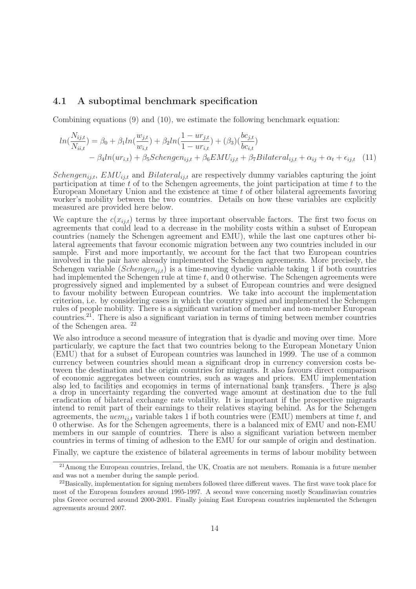#### 4.1 A suboptimal benchmark specification

Combining equations (9) and (10), we estimate the following benchmark equation:

$$
ln(\frac{N_{ij,t}}{N_{ii,t}}) = \beta_0 + \beta_1 ln(\frac{w_{j,t}}{w_{i,t}}) + \beta_2 ln(\frac{1 - ur_{j,t}}{1 - ur_{i,t}}) + (\beta_3)(\frac{bc_{j,t}}{bc_{i,t}}) - \beta_4 ln(ur_{i,t}) + \beta_5 Schengen_{ij,t} + \beta_6 EMU_{ij,t} + \beta_7 Bilateral_{ij,t} + \alpha_{ij} + \alpha_t + \epsilon_{ij,t}
$$
 (11)

Schengen<sub>ij,t</sub>, EMU<sub>ij,t</sub> and Bilateral<sub>ij,t</sub> are respectively dummy variables capturing the joint participation at time  $t$  of to the Schengen agreements, the joint participation at time  $t$  to the European Monetary Union and the existence at time  $t$  of other bilateral agreements favoring worker's mobility between the two countries. Details on how these variables are explicitly measured are provided here below.

We capture the  $c(x_{i,j,t})$  terms by three important observable factors. The first two focus on agreements that could lead to a decrease in the mobility costs within a subset of European countries (namely the Schengen agreement and EMU), while the last one captures other bilateral agreements that favour economic migration between any two countries included in our sample. First and more importantly, we account for the fact that two European countries involved in the pair have already implemented the Schengen agreements. More precisely, the Schengen variable (Schengen<sub>ij,t</sub>) is a time-moving dyadic variable taking 1 if both countries had implemented the Schengen rule at time t, and 0 otherwise. The Schengen agreements were progressively signed and implemented by a subset of European countries and were designed to favour mobility between European countries. We take into account the implementation criterion, i.e. by considering cases in which the country signed and implemented the Schengen rules of people mobility. There is a significant variation of member and non-member European countries.<sup>21</sup>. There is also a significant variation in terms of timing between member countries of the Schengen area. <sup>22</sup>

We also introduce a second measure of integration that is dyadic and moving over time. More particularly, we capture the fact that two countries belong to the European Monetary Union (EMU) that for a subset of European countries was launched in 1999. The use of a common currency between countries should mean a significant drop in currency conversion costs between the destination and the origin countries for migrants. It also favours direct comparison of economic aggregates between countries, such as wages and prices. EMU implementation also led to facilities and economies in terms of international bank transfers. There is also a drop in uncertainty regarding the converted wage amount at destination due to the full eradication of bilateral exchange rate volatility. It is important if the prospective migrants intend to remit part of their earnings to their relatives staying behind. As for the Schengen agreements, the  $\overline{uem}_{i,i,t}$  variable takes 1 if both countries were (EMU) members at time t, and 0 otherwise. As for the Schengen agreements, there is a balanced mix of EMU and non-EMU members in our sample of countries. There is also a significant variation between member countries in terms of timing of adhesion to the EMU for our sample of origin and destination.

Finally, we capture the existence of bilateral agreements in terms of labour mobility between

<sup>&</sup>lt;sup>21</sup> Among the European countries, Ireland, the UK, Croatia are not members. Romania is a future member and was not a member during the sample period.

 $^{22}$ Basically, implementation for signing members followed three different waves. The first wave took place for most of the European founders around 1995-1997. A second wave concerning mostly Scandinavian countries plus Greece occurred around 2000-2001. Finally joining East European countries implemented the Schengen agreements around 2007.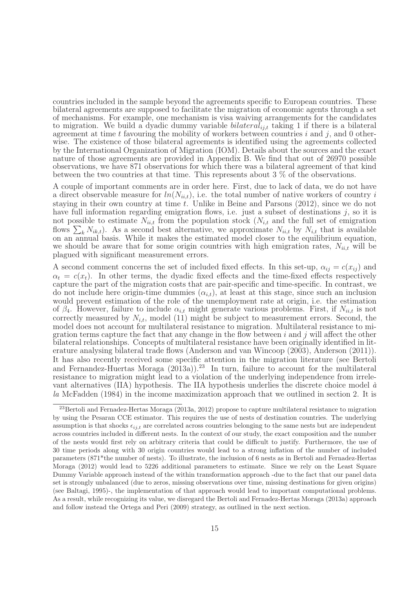countries included in the sample beyond the agreements specific to European countries. These bilateral agreements are supposed to facilitate the migration of economic agents through a set of mechanisms. For example, one mechanism is visa waiving arrangements for the candidates to migration. We build a dyadic dummy variable bilateral<sub>ij,t</sub> taking 1 if there is a bilateral agreement at time t favouring the mobility of workers between countries  $i$  and  $j$ , and 0 otherwise. The existence of those bilateral agreements is identified using the agreements collected by the International Organization of Migration (IOM). Details about the sources and the exact nature of those agreements are provided in Appendix B. We find that out of 26970 possible observations, we have 871 observations for which there was a bilateral agreement of that kind between the two countries at that time. This represents about 3 % of the observations.

A couple of important comments are in order here. First, due to lack of data, we do not have a direct observable measure for  $ln(N_{ii,t})$ , i.e. the total number of native workers of country i staying in their own country at time t. Unlike in Beine and Parsons  $(2012)$ , since we do not have full information regarding emigration flows, i.e. just a subset of destinations  $j$ , so it is not possible to estimate  $N_{ii,t}$  from the population stock  $(N_{i,t}$  and the full set of emigration flows  $\sum_{k} N_{ik,t}$ ). As a second best alternative, we approximate  $N_{ii,t}$  by  $N_{i,t}$  that is available on an annual basis. While it makes the estimated model closer to the equilibrium equation, we should be aware that for some origin countries with high emigration rates,  $N_{ii,t}$  will be plagued with significant measurement errors.

A second comment concerns the set of included fixed effects. In this set-up,  $\alpha_{ij} = c(x_{ij})$  and  $\alpha_t = c(x_t)$ . In other terms, the dyadic fixed effects and the time-fixed effects respectively capture the part of the migration costs that are pair-specific and time-specific. In contrast, we do not include here origin-time dummies  $(\alpha_{i,t})$ , at least at this stage, since such an inclusion would prevent estimation of the role of the unemployment rate at origin, i.e. the estimation of  $\beta_4$ . However, failure to include  $\alpha_{i,t}$  might generate various problems. First, if  $N_{ii,t}$  is not correctly measured by  $N_{i,t}$ , model (11) might be subject to measurement errors. Second, the model does not account for multilateral resistance to migration. Multilateral resistance to migration terms capture the fact that any change in the flow between  $i$  and  $j$  will affect the other bilateral relationships. Concepts of multilateral resistance have been originally identified in literature analysing bilateral trade flows (Anderson and van Wincoop (2003), Anderson (2011)). It has also recently received some specific attention in the migration literature (see Bertoli and Fernandez-Huertas Moraga  $(2013a)$ .<sup>23</sup> In turn, failure to account for the multilateral resistance to migration might lead to a violation of the underlying independence from irrelevant alternatives (IIA) hypothesis. The IIA hypothesis underlies the discrete choice model à la McFadden (1984) in the income maximization approach that we outlined in section 2. It is

<sup>23</sup>Bertoli and Fernadez-Hertas Moraga (2013a, 2012) propose to capture multilateral resistance to migration by using the Pesaran CCE estimator. This requires the use of nests of destination countries. The underlying assumption is that shocks  $\epsilon_{ij,t}$  are correlated across countries belonging to the same nests but are independent across countries included in different nests. In the context of our study, the exact composition and the number of the nests would first rely on arbitrary criteria that could be difficult to justify. Furthermore, the use of 30 time periods along with 30 origin countries would lead to a strong inflation of the number of included parameters (871\*the number of nests). To illustrate, the inclusion of 6 nests as in Bertoli and Fernadez-Hertas Moraga (2012) would lead to 5226 additional parameters to estimate. Since we rely on the Least Square Dummy Variable approach instead of the within transformation approach -due to the fact that our panel data set is strongly unbalanced (due to zeros, missing observations over time, missing destinations for given origins) (see Baltagi, 1995)-, the implementation of that approach would lead to important computational problems. As a result, while recognizing its value, we disregard the Bertoli and Fernadez-Hertas Moraga (2013a) approach and follow instead the Ortega and Peri (2009) strategy, as outlined in the next section.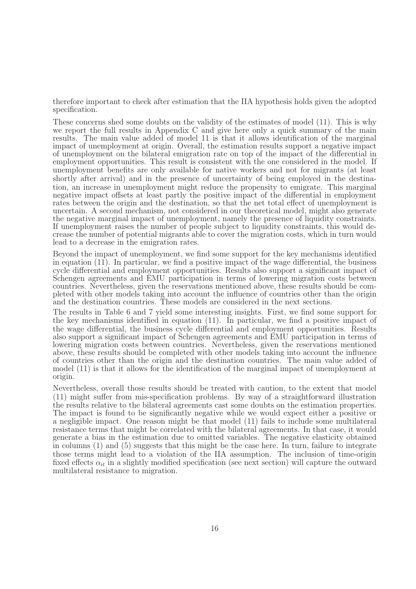therefore important to check after estimation that the IIA hypothesis holds given the adopted specification.

These concerns shed some doubts on the validity of the estimates of model (11). This is why we report the full results in Appendix C and give here only a quick summary of the main results. The main value added of model 11 is that it allows identification of the marginal impact of unemployment at origin. Overall, the estimation results support a negative impact of unemployment on the bilateral emigration rate on top of the impact of the differential in employment opportunities. This result is consistent with the one considered in the model. If unemployment benefits are only available for native workers and not for migrants (at least shortly after arrival) and in the presence of uncertainty of being employed in the destination, an increase in unemployment might reduce the propensity to emigrate. This marginal negative impact offsets at least partly the positive impact of the differential in employment rates between the origin and the destination, so that the net total effect of unemployment is uncertain. A second mechanism, not considered in our theoretical model, might also generate the negative marginal impact of unemployment, namely the presence of liquidity constraints. If unemployment raises the number of people subject to liquidity constraints, this would decrease the number of potential migrants able to cover the migration costs, which in turn would lead to a decrease in the emigration rates.

Beyond the impact of unemployment, we find some support for the key mechanisms identified in equation (11). In particular, we find a positive impact of the wage differential, the business cycle differential and employment opportunities. Results also support a significant impact of Schengen agreements and EMU participation in terms of lowering migration costs between countries. Nevertheless, given the reservations mentioned above, these results should be completed with other models taking into account the influence of countries other than the origin and the destination countries. These models are considered in the next sections.

The results in Table 6 and 7 yield some interesting insights. First, we find some support for the key mechanisms identified in equation (11). In particular, we find a positive impact of the wage differential, the business cycle differential and employment opportunities. Results also support a significant impact of Schengen agreements and EMU participation in terms of lowering migration costs between countries. Nevertheless, given the reservations mentioned above, these results should be completed with other models taking into account the influence of countries other than the origin and the destination countries. The main value added of model (11) is that it allows for the identification of the marginal impact of unemployment at origin.

Nevertheless, overall those results should be treated with caution, to the extent that model (11) might suffer from mis-specification problems. By way of a straightforward illustration the results relative to the bilateral agreements cast some doubts on the estimation properties. The impact is found to be significantly negative while we would expect either a positive or a negligible impact. One reason might be that model (11) fails to include some multilateral resistance terms that might be correlated with the bilateral agreements. In that case, it would generate a bias in the estimation due to omitted variables. The negative elasticity obtained in columns (1) and (5) suggests that this might be the case here. In turn, failure to integrate those terms might lead to a violation of the IIA assumption. The inclusion of time-origin fixed effects  $\alpha_{it}$  in a slightly modified specification (see next section) will capture the outward multilateral resistance to migration.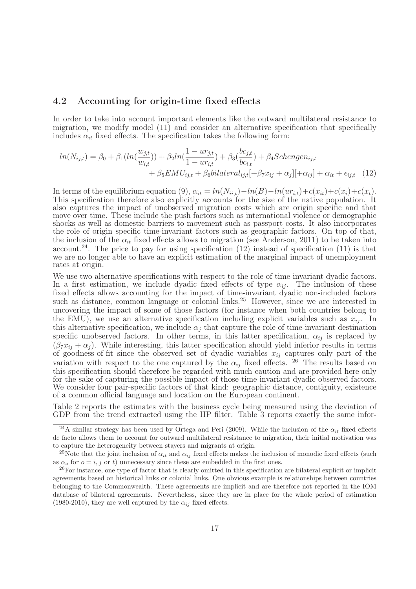#### 4.2 Accounting for origin-time fixed effects

In order to take into account important elements like the outward multilateral resistance to migration, we modify model (11) and consider an alternative specification that specifically includes  $\alpha_{it}$  fixed effects. The specification takes the following form:

$$
ln(N_{ij,t}) = \beta_0 + \beta_1(ln(\frac{w_{j,t}}{w_{i,t}})) + \beta_2 ln(\frac{1 - ur_{j,t}}{1 - ur_{i,t}}) + \beta_3(\frac{bc_{j,t}}{bc_{i,t}}) + \beta_4 Schengen_{ij,t} + \beta_5 EMU_{ij,t} + \beta_6 bilateral_{ij,t} [+\beta_7 x_{ij} + \alpha_j][+\alpha_{ij}] + \alpha_{it} + \epsilon_{ij,t}
$$
(12)

In terms of the equilibrium equation (9),  $\alpha_{it} = ln(N_{ii,t}) - ln(B) - ln(ur_{i,t}) + c(x_i) + c(x_i) + c(x_t)$ . This specification therefore also explicitly accounts for the size of the native population. It also captures the impact of unobserved migration costs which are origin specific and that move over time. These include the push factors such as international violence or demographic shocks as well as domestic barriers to movement such as passport costs. It also incorporates the role of origin specific time-invariant factors such as geographic factors. On top of that, the inclusion of the  $\alpha_{it}$  fixed effects allows to migration (see Anderson, 2011) to be taken into account.<sup>24</sup>. The price to pay for using specification  $(12)$  instead of specification  $(11)$  is that we are no longer able to have an explicit estimation of the marginal impact of unemployment rates at origin.

We use two alternative specifications with respect to the role of time-invariant dyadic factors. In a first estimation, we include dyadic fixed effects of type  $\alpha_{ij}$ . The inclusion of these fixed effects allows accounting for the impact of time-invariant dyadic non-included factors such as distance, common language or colonial links.<sup>25</sup> However, since we are interested in uncovering the impact of some of those factors (for instance when both countries belong to the EMU), we use an alternative specification including explicit variables such as  $x_{ij}$ . In this alternative specification, we include  $\alpha_j$  that capture the role of time-invariant destination specific unobserved factors. In other terms, in this latter specification,  $\alpha_{ij}$  is replaced by  $(\beta_7x_{ii} + \alpha_i)$ . While interesting, this latter specification should yield inferior results in terms of goodness-of-fit since the observed set of dyadic variables  $x_{ij}$  captures only part of the variation with respect to the one captured by the  $\alpha_{ij}$  fixed effects. <sup>26</sup> The results based on this specification should therefore be regarded with much caution and are provided here only for the sake of capturing the possible impact of those time-invariant dyadic observed factors. We consider four pair-specific factors of that kind: geographic distance, contiguity, existence of a common official language and location on the European continent.

Table 2 reports the estimates with the business cycle being measured using the deviation of GDP from the trend extracted using the HP filter. Table 3 reports exactly the same infor-

<sup>&</sup>lt;sup>24</sup>A similar strategy has been used by Ortega and Peri (2009). While the inclusion of the  $\alpha_{it}$  fixed effects de facto allows them to account for outward multilateral resistance to migration, their initial motivation was to capture the heterogeneity between stayers and migrants at origin.

<sup>&</sup>lt;sup>25</sup>Note that the joint inclusion of  $\alpha_{it}$  and  $\alpha_{ij}$  fixed effects makes the inclusion of monodic fixed effects (such as  $\alpha_o$  for  $o = i, j$  or t) unnecessary since these are embedded in the first ones.

<sup>26</sup>For instance, one type of factor that is clearly omitted in this specification are bilateral explicit or implicit agreements based on historical links or colonial links. One obvious example is relationships between countries belonging to the Commonwealth. These agreements are implicit and are therefore not reported in the IOM database of bilateral agreements. Nevertheless, since they are in place for the whole period of estimation (1980-2010), they are well captured by the  $\alpha_{ij}$  fixed effects.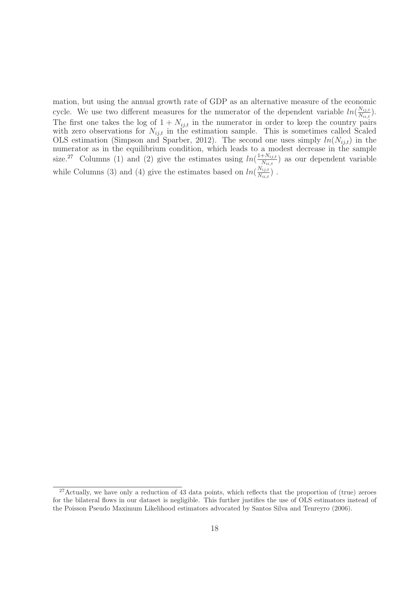mation, but using the annual growth rate of GDP as an alternative measure of the economic cycle. We use two different measures for the numerator of the dependent variable  $ln(\frac{N_{ij,t}}{N_{ij,t}})$  $\frac{N_{ij,t}}{N_{ii,t}}\big).$ The first one takes the log of  $1 + N_{ij,t}$  in the numerator in order to keep the country pairs with zero observations for  $N_{ij,t}$  in the estimation sample. This is sometimes called Scaled OLS estimation (Simpson and Sparber, 2012). The second one uses simply  $ln(N_{ij,t})$  in the numerator as in the equilibrium condition, which leads to a modest decrease in the sample size.<sup>27</sup> Columns (1) and (2) give the estimates using  $ln(\frac{1+N_{ij,t}}{N_{ij,t}})$  $\frac{N_{i,j,t}}{N_{i,i,t}}$  as our dependent variable while Columns (3) and (4) give the estimates based on  $ln(\frac{N_{ij,t}}{N_{i,j,t}})$  $\frac{N_{ij,t}}{N_{ii,t}}$ ).

 $27$ Actually, we have only a reduction of 43 data points, which reflects that the proportion of (true) zeroes for the bilateral flows in our dataset is negligible. This further justifies the use of OLS estimators instead of the Poisson Pseudo Maximum Likelihood estimators advocated by Santos Silva and Tenreyro (2006).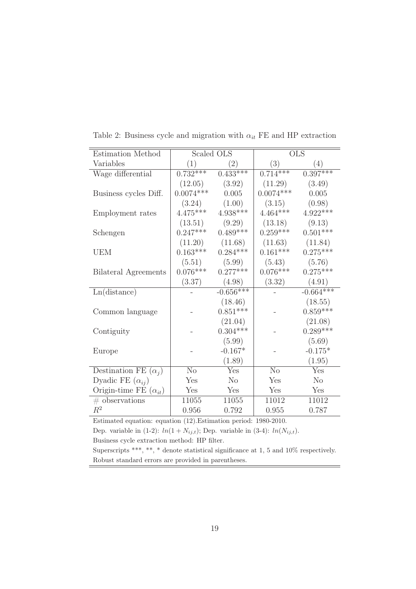| Estimation Method              |                | Scaled OLS              |                | <b>OLS</b>     |
|--------------------------------|----------------|-------------------------|----------------|----------------|
| Variables                      | (1)            | $\left( 2\right)$       | (3)            | (4)            |
| Wage differential              | $0.732***$     | $0.433***$              | $0.714***$     | $0.397***$     |
|                                | (12.05)        | (3.92)                  | (11.29)        | (3.49)         |
| Business cycles Diff.          | $0.0074***$    | 0.005                   | $0.0074***$    | 0.005          |
|                                | (3.24)         | (1.00)                  | (3.15)         | (0.98)         |
| Employment rates               | $4.475***$     | $4.938***$              | $4.464***$     | $4.922***$     |
|                                | (13.51)        | (9.29)                  | (13.18)        | (9.13)         |
| Schengen                       | $0.247***$     | $0.489***$              | $0.259***$     | $0.501***$     |
|                                | (11.20)        | (11.68)                 | (11.63)        | (11.84)        |
| <b>UEM</b>                     | $0.163***$     | $0.284***$              | $0.161***$     | $0.275***$     |
|                                | (5.51)         | (5.99)                  | (5.43)         | (5.76)         |
| <b>Bilateral Agreements</b>    | $0.076***$     | $0.277***$              | $0.076***$     | $0.275***$     |
|                                | (3.37)         | (4.98)                  | (3.32)         | (4.91)         |
| Ln(distance)                   |                | $-0.656***$             |                | $-0.664***$    |
|                                |                | (18.46)                 |                | (18.55)        |
| Common language                |                | $0.851***$              |                | $0.859***$     |
|                                |                | (21.04)                 |                | (21.08)        |
| Contiguity                     |                | $0.304***$              |                | $0.289***$     |
|                                |                | (5.99)                  |                | (5.69)         |
| Europe                         |                | $-0.167*$               |                | $-0.175*$      |
|                                |                | (1.89)                  |                | (1.95)         |
| Destination FE $(\alpha_i)$    | N <sub>o</sub> | $\overline{\text{Yes}}$ | N <sub>o</sub> | Yes            |
| Dyadic FE $(\alpha_{ij})$      | Yes            | N <sub>o</sub>          | Yes            | N <sub>o</sub> |
| Origin-time FE $(\alpha_{it})$ | Yes            | Yes                     | Yes            | Yes            |
| $#$ observations               | 11055          | 11055                   | 11012          | 11012          |
| $R^2$                          | 0.956          | 0.792                   | 0.955          | 0.787          |

Table 2: Business cycle and migration with  $\alpha_{it}$  FE and HP extraction

Estimated equation: equation (12).Estimation period: 1980-2010. Dep. variable in (1-2):  $ln(1 + N_{ij,t})$ ; Dep. variable in (3-4):  $ln(N_{ij,t})$ .

Business cycle extraction method: HP filter.

Superscripts \*\*\*, \*\*, \* denote statistical significance at 1, 5 and 10% respectively. Robust standard errors are provided in parentheses.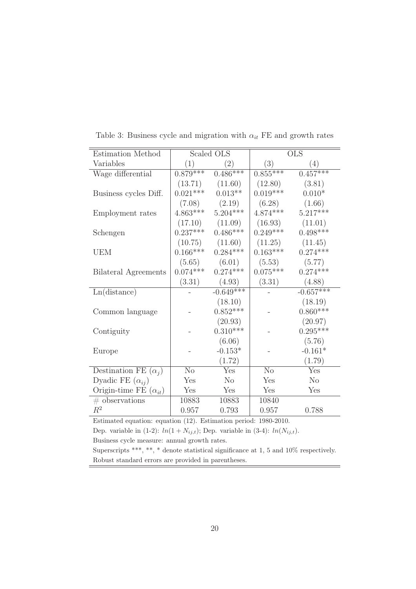| Estimation Method              |            | Scaled OLS        |            | <b>OLS</b>     |
|--------------------------------|------------|-------------------|------------|----------------|
| Variables                      | (1)        | $\left( 2\right)$ | (3)        | (4)            |
| Wage differential              | $0.879***$ | $0.486***$        | $0.855***$ | $0.457***$     |
|                                | (13.71)    | (11.60)           | (12.80)    | (3.81)         |
| Business cycles Diff.          | $0.021***$ | $0.013**$         | $0.019***$ | $0.010*$       |
|                                | (7.08)     | (2.19)            | (6.28)     | (1.66)         |
| Employment rates               | $4.863***$ | $5.204***$        | $4.874***$ | $5.217***$     |
|                                | (17.10)    | (11.09)           | (16.93)    | (11.01)        |
| Schengen                       | $0.237***$ | $0.486***$        | $0.249***$ | $0.498***$     |
|                                | (10.75)    | (11.60)           | (11.25)    | (11.45)        |
| <b>UEM</b>                     | $0.166***$ | $0.284***$        | $0.163***$ | $0.274***$     |
|                                | (5.65)     | (6.01)            | (5.53)     | (5.77)         |
| Bilateral Agreements           | $0.074***$ | $0.274***$        | $0.075***$ | $0.274***$     |
|                                | (3.31)     | (4.93)            | (3.31)     | (4.88)         |
| Ln(distance)                   |            | $-0.649***$       |            | $-0.657***$    |
|                                |            | (18.10)           |            | (18.19)        |
| Common language                |            | $0.852***$        |            | $0.860***$     |
|                                |            | (20.93)           |            | (20.97)        |
| Contiguity                     |            | $0.310***$        |            | $0.295***$     |
|                                |            | (6.06)            |            | (5.76)         |
| Europe                         |            | $-0.153*$         |            | $-0.161*$      |
|                                |            | (1.72)            |            | (1.79)         |
| Destination FE $(\alpha_i)$    | No         | Yes               | No         | Yes            |
| Dyadic FE $(\alpha_{ij})$      | Yes        | N <sub>o</sub>    | Yes        | N <sub>o</sub> |
| Origin-time FE $(\alpha_{it})$ | Yes        | Yes               | Yes        | Yes            |
| $#$ observations               | 10883      | 10883             | 10840      |                |
| $R^2$                          | 0.957      | 0.793             | 0.957      | 0.788          |

Table 3: Business cycle and migration with  $\alpha_{it}$  FE and growth rates

Estimated equation: equation (12). Estimation period: 1980-2010. Dep. variable in (1-2):  $ln(1 + N_{ij,t})$ ; Dep. variable in (3-4):  $ln(N_{ij,t})$ .

Business cycle measure: annual growth rates.

Superscripts \*\*\*, \*\*, \* denote statistical significance at 1, 5 and 10% respectively. Robust standard errors are provided in parentheses.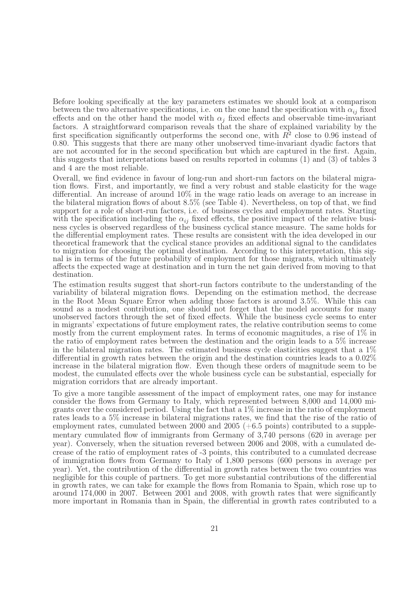Before looking specifically at the key parameters estimates we should look at a comparison between the two alternative specifications, i.e. on the one hand the specification with  $\alpha_{ij}$  fixed effects and on the other hand the model with  $\alpha_i$  fixed effects and observable time-invariant factors. A straightforward comparison reveals that the share of explained variability by the first specification significantly outperforms the second one, with  $R^2$  close to 0.96 instead of 0.80. This suggests that there are many other unobserved time-invariant dyadic factors that are not accounted for in the second specification but which are captured in the first. Again, this suggests that interpretations based on results reported in columns (1) and (3) of tables 3 and 4 are the most reliable.

Overall, we find evidence in favour of long-run and short-run factors on the bilateral migration flows. First, and importantly, we find a very robust and stable elasticity for the wage differential. An increase of around 10% in the wage ratio leads on average to an increase in the bilateral migration flows of about 8.5% (see Table 4). Nevertheless, on top of that, we find support for a role of short-run factors, i.e. of business cycles and employment rates. Starting with the specification including the  $\alpha_{ij}$  fixed effects, the positive impact of the relative business cycles is observed regardless of the business cyclical stance measure. The same holds for the differential employment rates. These results are consistent with the idea developed in our theoretical framework that the cyclical stance provides an additional signal to the candidates to migration for choosing the optimal destination. According to this interpretation, this signal is in terms of the future probability of employment for those migrants, which ultimately affects the expected wage at destination and in turn the net gain derived from moving to that destination.

The estimation results suggest that short-run factors contribute to the understanding of the variability of bilateral migration flows. Depending on the estimation method, the decrease in the Root Mean Square Error when adding those factors is around 3.5%. While this can sound as a modest contribution, one should not forget that the model accounts for many unobserved factors through the set of fixed effects. While the business cycle seems to enter in migrants' expectations of future employment rates, the relative contribution seems to come mostly from the current employment rates. In terms of economic magnitudes, a rise of 1% in the ratio of employment rates between the destination and the origin leads to a 5% increase in the bilateral migration rates. The estimated business cycle elasticities suggest that a 1% differential in growth rates between the origin and the destination countries leads to a 0.02% increase in the bilateral migration flow. Even though these orders of magnitude seem to be modest, the cumulated effects over the whole business cycle can be substantial, especially for migration corridors that are already important.

To give a more tangible assessment of the impact of employment rates, one may for instance consider the flows from Germany to Italy, which represented between 8,000 and 14,000 migrants over the considered period. Using the fact that a 1% increase in the ratio of employment rates leads to a 5% increase in bilateral migrations rates, we find that the rise of the ratio of employment rates, cumulated between  $2000$  and  $2005$  (+6.5 points) contributed to a supplementary cumulated flow of immigrants from Germany of 3,740 persons (620 in average per year). Conversely, when the situation reversed between 2006 and 2008, with a cumulated decrease of the ratio of employment rates of -3 points, this contributed to a cumulated decrease of immigration flows from Germany to Italy of 1,800 persons (600 persons in average per year). Yet, the contribution of the differential in growth rates between the two countries was negligible for this couple of partners. To get more substantial contributions of the differential in growth rates, we can take for example the flows from Romania to Spain, which rose up to around 174,000 in 2007. Between 2001 and 2008, with growth rates that were significantly more important in Romania than in Spain, the differential in growth rates contributed to a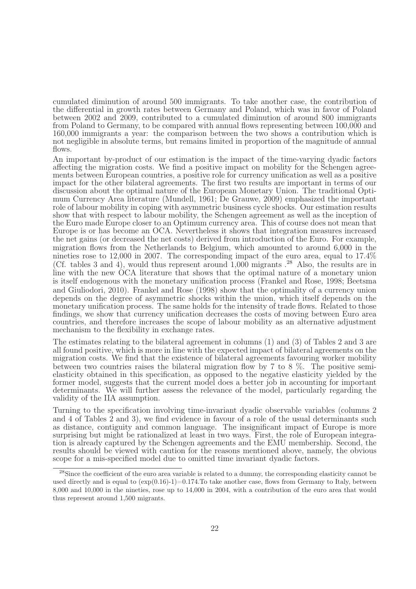cumulated diminution of around 500 immigrants. To take another case, the contribution of the differential in growth rates between Germany and Poland, which was in favor of Poland between 2002 and 2009, contributed to a cumulated diminution of around 800 immigrants from Poland to Germany, to be compared with annual flows representing between 100,000 and 160,000 immigrants a year: the comparison between the two shows a contribution which is not negligible in absolute terms, but remains limited in proportion of the magnitude of annual flows.

An important by-product of our estimation is the impact of the time-varying dyadic factors affecting the migration costs. We find a positive impact on mobility for the Schengen agreements between European countries, a positive role for currency unification as well as a positive impact for the other bilateral agreements. The first two results are important in terms of our discussion about the optimal nature of the European Monetary Union. The traditional Optimum Currency Area literature (Mundell, 1961; De Grauwe, 2009) emphasized the important role of labour mobility in coping with asymmetric business cycle shocks. Our estimation results show that with respect to labour mobility, the Schengen agreement as well as the inception of the Euro made Europe closer to an Optimum currency area. This of course does not mean that Europe is or has become an OCA. Nevertheless it shows that integration measures increased the net gains (or decreased the net costs) derived from introduction of the Euro. For example, migration flows from the Netherlands to Belgium, which amounted to around 6,000 in the nineties rose to 12,000 in 2007. The corresponding impact of the euro area, equal to 17.4% (Cf. tables 3 and 4), would thus represent around  $1,000$  migrants  $^{28}$  Also, the results are in line with the new OCA literature that shows that the optimal nature of a monetary union is itself endogenous with the monetary unification process (Frankel and Rose, 1998; Beetsma and Giuliodori, 2010). Frankel and Rose (1998) show that the optimality of a currency union depends on the degree of asymmetric shocks within the union, which itself depends on the monetary unification process. The same holds for the intensity of trade flows. Related to those findings, we show that currency unification decreases the costs of moving between Euro area countries, and therefore increases the scope of labour mobility as an alternative adjustment mechanism to the flexibility in exchange rates.

The estimates relating to the bilateral agreement in columns (1) and (3) of Tables 2 and 3 are all found positive, which is more in line with the expected impact of bilateral agreements on the migration costs. We find that the existence of bilateral agreements favouring worker mobility between two countries raises the bilateral migration flow by 7 to 8 %. The positive semielasticity obtained in this specification, as opposed to the negative elasticity yielded by the former model, suggests that the current model does a better job in accounting for important determinants. We will further assess the relevance of the model, particularly regarding the validity of the IIA assumption.

Turning to the specification involving time-invariant dyadic observable variables (columns 2 and 4 of Tables 2 and 3), we find evidence in favour of a role of the usual determinants such as distance, contiguity and common language. The insignificant impact of Europe is more surprising but might be rationalized at least in two ways. First, the role of European integration is already captured by the Schengen agreements and the EMU membership. Second, the results should be viewed with caution for the reasons mentioned above, namely, the obvious scope for a mis-specified model due to omitted time invariant dyadic factors.

<sup>&</sup>lt;sup>28</sup>Since the coefficient of the euro area variable is related to a dummy, the corresponding elasticity cannot be used directly and is equal to  $(\exp(0.16)-1)=0.174$ . To take another case, flows from Germany to Italy, between 8,000 and 10,000 in the nineties, rose up to 14,000 in 2004, with a contribution of the euro area that would thus represent around 1,500 migrants.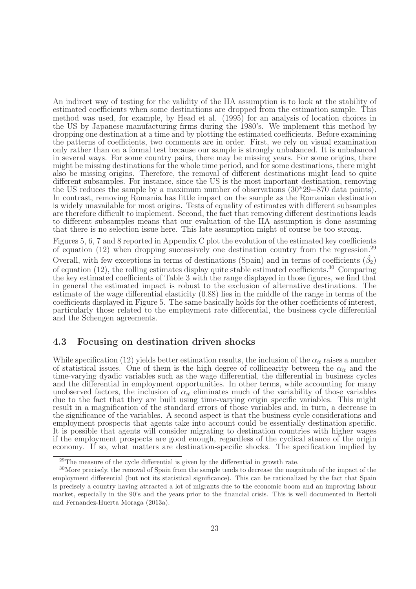An indirect way of testing for the validity of the IIA assumption is to look at the stability of estimated coefficients when some destinations are dropped from the estimation sample. This method was used, for example, by Head et al. (1995) for an analysis of location choices in the US by Japanese manufacturing firms during the 1980's. We implement this method by dropping one destination at a time and by plotting the estimated coefficients. Before examining the patterns of coefficients, two comments are in order. First, we rely on visual examination only rather than on a formal test because our sample is strongly unbalanced. It is unbalanced in several ways. For some country pairs, there may be missing years. For some origins, there might be missing destinations for the whole time period, and for some destinations, there might also be missing origins. Therefore, the removal of different destinations might lead to quite different subsamples. For instance, since the US is the most important destination, removing the US reduces the sample by a maximum number of observations  $(30^*29=870)$  data points). In contrast, removing Romania has little impact on the sample as the Romanian destination is widely unavailable for most origins. Tests of equality of estimates with different subsamples are therefore difficult to implement. Second, the fact that removing different destinations leads to different subsamples means that our evaluation of the IIA assumption is done assuming that there is no selection issue here. This late assumption might of course be too strong.

Figures 5, 6, 7 and 8 reported in Appendix C plot the evolution of the estimated key coefficients of equation  $(12)$  when dropping successively one destination country from the regression.<sup>29</sup> Overall, with few exceptions in terms of destinations (Spain) and in terms of coefficients  $(\hat{\beta}_2)$ of equation (12), the rolling estimates display quite stable estimated coefficients.<sup>30</sup> Comparing the key estimated coefficients of Table 3 with the range displayed in those figures, we find that in general the estimated impact is robust to the exclusion of alternative destinations. The estimate of the wage differential elasticity (0.88) lies in the middle of the range in terms of the coefficients displayed in Figure 5. The same basically holds for the other coefficients of interest, particularly those related to the employment rate differential, the business cycle differential and the Schengen agreements.

#### 4.3 Focusing on destination driven shocks

While specification (12) yields better estimation results, the inclusion of the  $\alpha_{it}$  raises a number of statistical issues. One of them is the high degree of collinearity between the  $\alpha_{it}$  and the time-varying dyadic variables such as the wage differential, the differential in business cycles and the differential in employment opportunities. In other terms, while accounting for many unobserved factors, the inclusion of  $\alpha_{it}$  eliminates much of the variability of those variables due to the fact that they are built using time-varying origin specific variables. This might result in a magnification of the standard errors of those variables and, in turn, a decrease in the significance of the variables. A second aspect is that the business cycle considerations and employment prospects that agents take into account could be essentially destination specific. It is possible that agents will consider migrating to destination countries with higher wages if the employment prospects are good enough, regardless of the cyclical stance of the origin economy. If so, what matters are destination-specific shocks. The specification implied by

<sup>&</sup>lt;sup>29</sup>The measure of the cycle differential is given by the differential in growth rate.

<sup>30</sup>More precisely, the removal of Spain from the sample tends to decrease the magnitude of the impact of the employment differential (but not its statistical significance). This can be rationalized by the fact that Spain is precisely a country having attracted a lot of migrants due to the economic boom and an improving labour market, especially in the 90's and the years prior to the financial crisis. This is well documented in Bertoli and Fernandez-Huerta Moraga (2013a).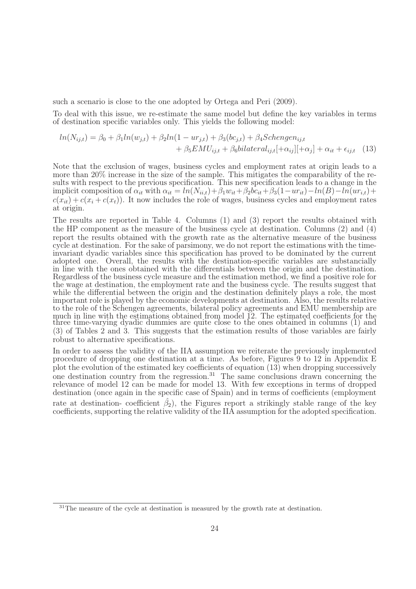such a scenario is close to the one adopted by Ortega and Peri (2009).

To deal with this issue, we re-estimate the same model but define the key variables in terms of destination specific variables only. This yields the following model:

$$
ln(N_{ij,t}) = \beta_0 + \beta_1 ln(w_{j,t}) + \beta_2 ln(1 - ur_{j,t}) + \beta_3 (bc_{j,t}) + \beta_4 Schengen_{ij,t} + \beta_5 EMU_{ij,t} + \beta_6 bilateral_{ij,t} [\alpha_{ij}] + \alpha_{ij} + \alpha_{it} + \epsilon_{ij,t}
$$
 (13)

Note that the exclusion of wages, business cycles and employment rates at origin leads to a more than 20% increase in the size of the sample. This mitigates the comparability of the results with respect to the previous specification. This new specification leads to a change in the implicit composition of  $\alpha_{it}$  with  $\alpha_{it} = ln(N_{ii,t}) + \beta_1 w_{it} + \beta_2 b c_{it} + \beta_3 (1 - u r_{it}) - ln(B) - ln(u r_{i,t}) +$  $c(x_{it}) + c(x_i + c(x_t))$ . It now includes the role of wages, business cycles and employment rates at origin.

The results are reported in Table 4. Columns (1) and (3) report the results obtained with the HP component as the measure of the business cycle at destination. Columns (2) and (4) report the results obtained with the growth rate as the alternative measure of the business cycle at destination. For the sake of parsimony, we do not report the estimations with the timeinvariant dyadic variables since this specification has proved to be dominated by the current adopted one. Overall, the results with the destination-specific variables are substancially in line with the ones obtained with the differentials between the origin and the destination. Regardless of the business cycle measure and the estimation method, we find a positive role for the wage at destination, the employment rate and the business cycle. The results suggest that while the differential between the origin and the destination definitely plays a role, the most important role is played by the economic developments at destination. Also, the results relative to the role of the Schengen agreements, bilateral policy agreements and EMU membership are much in line with the estimations obtained from model 12. The estimated coefficients for the three time-varying dyadic dummies are quite close to the ones obtained in columns (1) and (3) of Tables 2 and 3. This suggests that the estimation results of those variables are fairly robust to alternative specifications.

In order to assess the validity of the IIA assumption we reiterate the previously implemented procedure of dropping one destination at a time. As before, Figures 9 to 12 in Appendix E plot the evolution of the estimated key coefficients of equation (13) when dropping successively one destination country from the regression.<sup>31</sup> The same conclusions drawn concerning the relevance of model 12 can be made for model 13. With few exceptions in terms of dropped destination (once again in the specific case of Spain) and in terms of coefficients (employment rate at destination- coefficient  $\hat{\beta}_2$ ), the Figures report a strikingly stable range of the key coefficients, supporting the relative validity of the IIA assumption for the adopted specification.

<sup>&</sup>lt;sup>31</sup>The measure of the cycle at destination is measured by the growth rate at destination.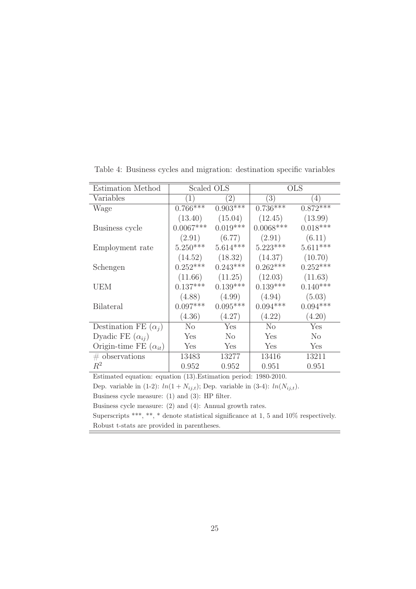| Estimation Method              | Scaled OLS  |                  |                  | <b>OLS</b>       |
|--------------------------------|-------------|------------------|------------------|------------------|
| Variables                      | 1)          | $\left(2\right)$ | $\left(3\right)$ | $\left(4\right)$ |
| Wage                           | $0.766***$  | $0.903***$       | $0.736***$       | $0.872***$       |
|                                | (13.40)     | (15.04)          | (12.45)          | (13.99)          |
| Business cycle                 | $0.0067***$ | $0.019***$       | $0.0068***$      | $0.018***$       |
|                                | (2.91)      | (6.77)           | (2.91)           | (6.11)           |
| Employment rate                | $5.250***$  | $5.614***$       | $5.223***$       | $5.611***$       |
|                                | (14.52)     | (18.32)          | (14.37)          | (10.70)          |
| Schengen                       | $0.252***$  | $0.243***$       | $0.262***$       | $0.252***$       |
|                                | (11.66)     | (11.25)          | (12.03)          | (11.63)          |
| <b>UEM</b>                     | $0.137***$  | $0.139***$       | $0.139***$       | $0.140***$       |
|                                | (4.88)      | (4.99)           | (4.94)           | (5.03)           |
| <b>Bilateral</b>               | $0.097***$  | $0.095***$       | $0.094***$       | $0.094***$       |
|                                | (4.36)      | (4.27)           | (4.22)           | (4.20)           |
| Destination FE $(\alpha_i)$    | $\rm No$    | Yes              | $\rm No$         | Yes              |
| Dyadic FE $(\alpha_{ij})$      | Yes         | $\rm No$         | Yes              | $\rm No$         |
| Origin-time FE $(\alpha_{it})$ | Yes         | Yes              | Yes              | Yes              |
| $\#$ observations              | 13483       | 13277            | 13416            | 13211            |
| $R^2$                          | 0.952       | 0.952            | 0.951            | 0.951            |

Table 4: Business cycles and migration: destination specific variables

Estimated equation: equation (13).Estimation period: 1980-2010.

Dep. variable in  $(1-2)$ :  $ln(1 + N_{ij,t})$ ; Dep. variable in  $(3-4)$ :  $ln(N_{ij,t})$ .

Business cycle measure: (1) and (3): HP filter.

Business cycle measure: (2) and (4): Annual growth rates.

Superscripts \*\*\*, \*\*, \* denote statistical significance at 1, 5 and 10% respectively. Robust t-stats are provided in parentheses.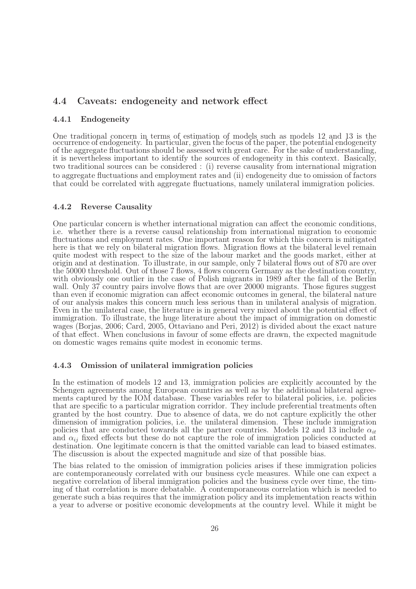#### 4.4 Caveats: endogeneity and network effect

#### 4.4.1 Endogeneity

One traditional concern in terms of estimation of models such as models 12 and 13 is the occurrence of endogeneity. In particular, given the focus of the paper, the potential endogeneity of the aggregate fluctuations should be assessed with great care. For the sake of understanding, it is nevertheless important to identify the sources of endogeneity in this context. Basically, two traditional sources can be considered : (i) reverse causality from international migration to aggregate fluctuations and employment rates and (ii) endogeneity due to omission of factors that could be correlated with aggregate fluctuations, namely unilateral immigration policies.

#### 4.4.2 Reverse Causality

One particular concern is whether international migration can affect the economic conditions, i.e. whether there is a reverse causal relationship from international migration to economic fluctuations and employment rates. One important reason for which this concern is mitigated here is that we rely on bilateral migration flows. Migration flows at the bilateral level remain quite modest with respect to the size of the labour market and the goods market, either at origin and at destination. To illustrate, in our sample, only 7 bilateral flows out of 870 are over the 50000 threshold. Out of those 7 flows, 4 flows concern Germany as the destination country, with obviously one outlier in the case of Polish migrants in 1989 after the fall of the Berlin wall. Only 37 country pairs involve flows that are over 20000 migrants. Those figures suggest than even if economic migration can affect economic outcomes in general, the bilateral nature of our analysis makes this concern much less serious than in unilateral analysis of migration. Even in the unilateral case, the literature is in general very mixed about the potential effect of immigration. To illustrate, the huge literature about the impact of immigration on domestic wages (Borjas, 2006; Card, 2005, Ottaviano and Peri, 2012) is divided about the exact nature of that effect. When conclusions in favour of some effects are drawn, the expected magnitude on domestic wages remains quite modest in economic terms.

#### 4.4.3 Omission of unilateral immigration policies

In the estimation of models 12 and 13, immigration policies are explicitly accounted by the Schengen agreements among European countries as well as by the additional bilateral agreements captured by the IOM database. These variables refer to bilateral policies, i.e. policies that are specific to a particular migration corridor. They include preferential treatments often granted by the host country. Due to absence of data, we do not capture explicitly the other dimension of immigration policies, i.e. the unilateral dimension. These include immigration policies that are conducted towards all the partner countries. Models 12 and 13 include  $\alpha_{it}$ and  $\alpha_{ij}$  fixed effects but these do not capture the role of immigration policies conducted at destination. One legitimate concern is that the omitted variable can lead to biased estimates. The discussion is about the expected magnitude and size of that possible bias.

The bias related to the omission of immigration policies arises if these immigration policies are contemporaneously correlated with our business cycle measures. While one can expect a negative correlation of liberal immigration policies and the business cycle over time, the timing of that correlation is more debatable. A contemporaneous correlation which is needed to generate such a bias requires that the immigration policy and its implementation reacts within a year to adverse or positive economic developments at the country level. While it might be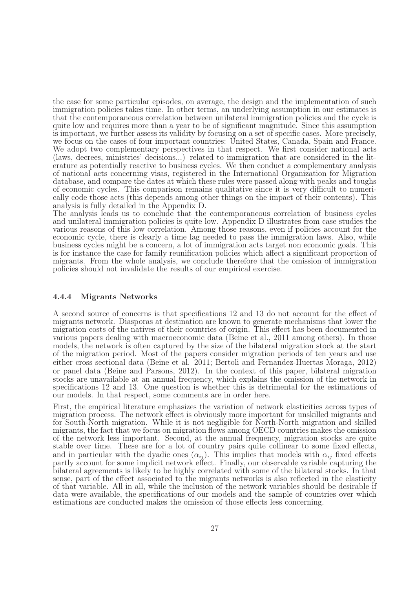the case for some particular episodes, on average, the design and the implementation of such immigration policies takes time. In other terms, an underlying assumption in our estimates is that the contemporaneous correlation between unilateral immigration policies and the cycle is quite low and requires more than a year to be of significant magnitude. Since this assumption is important, we further assess its validity by focusing on a set of specific cases. More precisely, we focus on the cases of four important countries: United States, Canada, Spain and France. We adopt two complementary perspectives in that respect. We first consider national acts (laws, decrees, ministries' decisions...) related to immigration that are considered in the literature as potentially reactive to business cycles. We then conduct a complementary analysis of national acts concerning visas, registered in the International Organization for Migration database, and compare the dates at which these rules were passed along with peaks and toughs of economic cycles. This comparison remains qualitative since it is very difficult to numerically code those acts (this depends among other things on the impact of their contents). This analysis is fully detailed in the Appendix D.

The analysis leads us to conclude that the contemporaneous correlation of business cycles and unilateral immigration policies is quite low. Appendix D illustrates from case studies the various reasons of this low correlation. Among those reasons, even if policies account for the economic cycle, there is clearly a time lag needed to pass the immigration laws. Also, while business cycles might be a concern, a lot of immigration acts target non economic goals. This is for instance the case for family reunification policies which affect a significant proportion of migrants. From the whole analysis, we conclude therefore that the omission of immigration policies should not invalidate the results of our empirical exercise.

#### 4.4.4 Migrants Networks

A second source of concerns is that specifications 12 and 13 do not account for the effect of migrants network. Diasporas at destination are known to generate mechanisms that lower the migration costs of the natives of their countries of origin. This effect has been documented in various papers dealing with macroeconomic data (Beine et al., 2011 among others). In those models, the network is often captured by the size of the bilateral migration stock at the start of the migration period. Most of the papers consider migration periods of ten years and use either cross sectional data (Beine et al. 2011; Bertoli and Fernandez-Huertas Moraga, 2012) or panel data (Beine and Parsons, 2012). In the context of this paper, bilateral migration stocks are unavailable at an annual frequency, which explains the omission of the network in specifications 12 and 13. One question is whether this is detrimental for the estimations of our models. In that respect, some comments are in order here.

First, the empirical literature emphasizes the variation of network elasticities across types of migration process. The network effect is obviously more important for unskilled migrants and for South-North migration. While it is not negligible for North-North migration and skilled migrants, the fact that we focus on migration flows among OECD countries makes the omission of the network less important. Second, at the annual frequency, migration stocks are quite stable over time. These are for a lot of country pairs quite collinear to some fixed effects, and in particular with the dyadic ones  $(\alpha_{ij})$ . This implies that models with  $\alpha_{ij}$  fixed effects partly account for some implicit network effect. Finally, our observable variable capturing the bilateral agreements is likely to be highly correlated with some of the bilateral stocks. In that sense, part of the effect associated to the migrants networks is also reflected in the elasticity of that variable. All in all, while the inclusion of the network variables should be desirable if data were available, the specifications of our models and the sample of countries over which estimations are conducted makes the omission of those effects less concerning.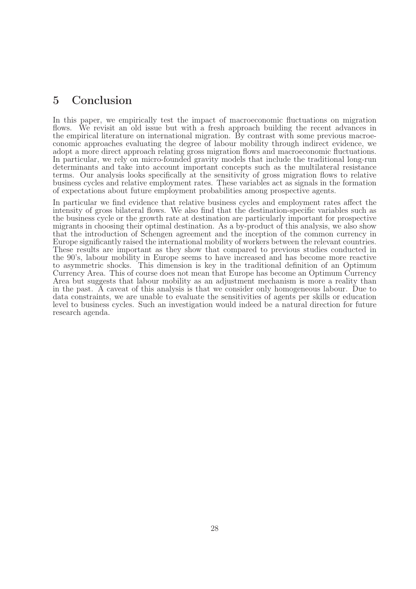## 5 Conclusion

In this paper, we empirically test the impact of macroeconomic fluctuations on migration flows. We revisit an old issue but with a fresh approach building the recent advances in the empirical literature on international migration. By contrast with some previous macroeconomic approaches evaluating the degree of labour mobility through indirect evidence, we adopt a more direct approach relating gross migration flows and macroeconomic fluctuations. In particular, we rely on micro-founded gravity models that include the traditional long-run determinants and take into account important concepts such as the multilateral resistance terms. Our analysis looks specifically at the sensitivity of gross migration flows to relative business cycles and relative employment rates. These variables act as signals in the formation of expectations about future employment probabilities among prospective agents.

In particular we find evidence that relative business cycles and employment rates affect the intensity of gross bilateral flows. We also find that the destination-specific variables such as the business cycle or the growth rate at destination are particularly important for prospective migrants in choosing their optimal destination. As a by-product of this analysis, we also show that the introduction of Schengen agreement and the inception of the common currency in Europe significantly raised the international mobility of workers between the relevant countries. These results are important as they show that compared to previous studies conducted in the 90's, labour mobility in Europe seems to have increased and has become more reactive to asymmetric shocks. This dimension is key in the traditional definition of an Optimum Currency Area. This of course does not mean that Europe has become an Optimum Currency Area but suggests that labour mobility as an adjustment mechanism is more a reality than in the past. A caveat of this analysis is that we consider only homogeneous labour. Due to data constraints, we are unable to evaluate the sensitivities of agents per skills or education level to business cycles. Such an investigation would indeed be a natural direction for future research agenda.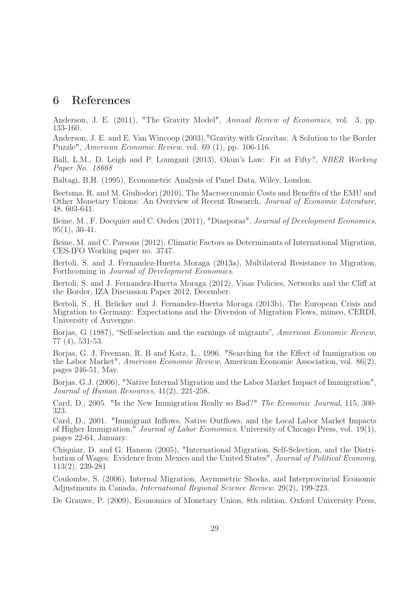### 6 References

Anderson, J. E. (2011), "The Gravity Model", Annual Review of Economics, vol. 3, pp. 133-160.

Anderson, J. E. and E. Van Wincoop (2003),"Gravity with Gravitas: A Solution to the Border Puzzle", American Economic Review, vol. 69 (1), pp. 106-116.

Ball, L.M., D. Leigh and P. Loungani (2013), Okun's Law: Fit at Fifty?, NBER Working Paper No. 18668

Baltagi, B.H. (1995), Econometric Analysis of Panel Data, Wiley, London.

Beetsma, R. and M. Giuliodori (2010), The Macroeconomic Costs and Benefits of the EMU and Other Monetary Unions: An Overview of Recent Research, Journal of Economic Literature, 48, 603-641.

Beine, M., F. Docquier and C. Ozden (2011), "Diasporas", Journal of Development Economics, 95(1), 30-41.

Beine, M. and C. Parsons (2012), Climatic Factors as Determinants of International Migration, CES-IFO Working paper no. 3747.

Bertoli, S. and J. Fernandez-Huerta Moraga (2013a), Multilateral Resistance to Migration, Forthcoming in Journal of Development Economics.

Bertoli, S. and J. Fernandez-Huerta Moraga (2012), Visas Policies, Networks and the Cliff at the Border, IZA Discussion Paper 2012, December.

Bertoli, S., H. Brücker and J. Fernandez-Huerta Moraga (2013b), The European Crisis and Migration to Germany: Expectations and the Diversion of Migration Flows, mimeo, CERDI, University of Auvergne.

Borjas, G (1987), "Self-selection and the earnings of migrants", American Economic Review, 77 (4), 531-53.

Borjas, G. J, Freeman, R. B and Katz, L., 1996. "Searching for the Effect of Immigration on the Labor Market", American Economic Review, American Economic Association, vol. 86(2), pages 246-51, May.

Borjas, G.J. (2006), "Native Internal Migration and the Labor Market Impact of Immigration", Journal of Human Resources, 41(2), 221-258.

Card, D., 2005. "Is the New Immigration Really so Bad?" The Economic Journal, 115, 300- 323.

Card, D., 2001. "Immigrant Inflows, Native Outflows, and the Local Labor Market Impacts of Higher Immigration," Journal of Labor Economics, University of Chicago Press, vol. 19(1), pages 22-64, January.

Chiquiar, D. and G. Hanson (2005), "International Migration, Self-Selection, and the Distribution of Wages: Evidence from Mexico and the United States", Journal of Political Economy, 113(2), 239-281

Coulombe, S. (2006), Internal Migration, Asymmetric Shocks, and Interprovincial Economic Adjustments in Canada, International Regional Science Review, 29(2), 199-223.

De Grauwe, P. (2009), Economics of Monetary Union, 8th edition, Oxford University Press,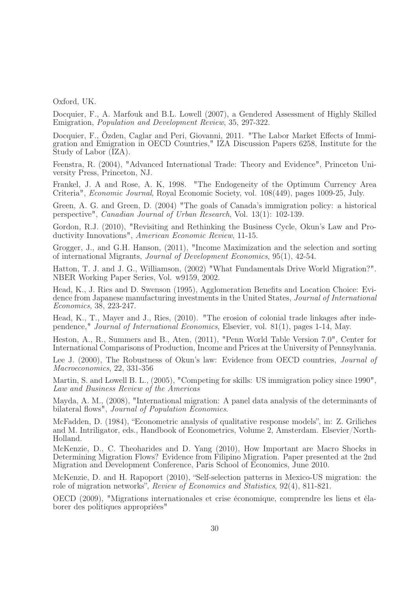Oxford, UK.

Docquier, F., A. Marfouk and B.L. Lowell (2007), a Gendered Assessment of Highly Skilled Emigration, Population and Development Review, 35, 297-322.

Docquier, F., Özden, Caglar and Peri, Giovanni, 2011. "The Labor Market Effects of Immigration and Emigration in OECD Countries," IZA Discussion Papers 6258, Institute for the Study of Labor (IZA).

Feenstra, R. (2004), "Advanced International Trade: Theory and Evidence", Princeton University Press, Princeton, NJ.

Frankel, J. A and Rose, A. K, 1998. "The Endogeneity of the Optimum Currency Area Criteria", Economic Journal, Royal Economic Society, vol. 108(449), pages 1009-25, July.

Green, A. G. and Green, D. (2004) "The goals of Canada's immigration policy: a historical perspective", Canadian Journal of Urban Research, Vol. 13(1): 102-139.

Gordon, R.J. (2010), "Revisiting and Rethinking the Business Cycle, Okun's Law and Productivity Innovations", American Economic Review, 11-15.

Grogger, J., and G.H. Hanson, (2011), "Income Maximization and the selection and sorting of international Migrants, Journal of Development Economics, 95(1), 42-54.

Hatton, T. J. and J. G., Williamson, (2002) "What Fundamentals Drive World Migration?". NBER Working Paper Series, Vol. w9159, 2002.

Head, K., J. Ries and D. Swenson (1995), Agglomeration Benefits and Location Choice: Evidence from Japanese manufacturing investments in the United States, Journal of International Economics, 38, 223-247.

Head, K., T., Mayer and J., Ries, (2010). "The erosion of colonial trade linkages after independence," Journal of International Economics, Elsevier, vol. 81(1), pages 1-14, May.

Heston, A., R., Summers and B., Aten, (2011), "Penn World Table Version 7.0", Center for International Comparisons of Production, Income and Prices at the University of Pennsylvania.

Lee J. (2000), The Robustness of Okun's law: Evidence from OECD countries, *Journal of* Macroeconomics, 22, 331-356

Martin, S. and Lowell B. L., (2005), "Competing for skills: US immigration policy since 1990", Law and Business Review of the Americas

Mayda, A. M., (2008), "International migration: A panel data analysis of the determinants of bilateral flows", *Journal of Population Economics*.

McFadden, D. (1984), "Econometric analysis of qualitative response models", in: Z. Griliches and M. Intriligator, eds., Handbook of Econometrics, Volume 2, Amsterdam. Elsevier/North-Holland.

McKenzie, D., C. Theoharides and D. Yang (2010), How Important are Macro Shocks in Determining Migration Flows? Evidence from Filipino Migration. Paper presented at the 2nd Migration and Development Conference, Paris School of Economics, June 2010.

McKenzie, D. and H. Rapoport (2010), "Self-selection patterns in Mexico-US migration: the role of migration networks", Review of Economics and Statistics, 92(4), 811-821.

OECD (2009), "Migrations internationales et crise économique, comprendre les liens et élaborer des politiques appropriées"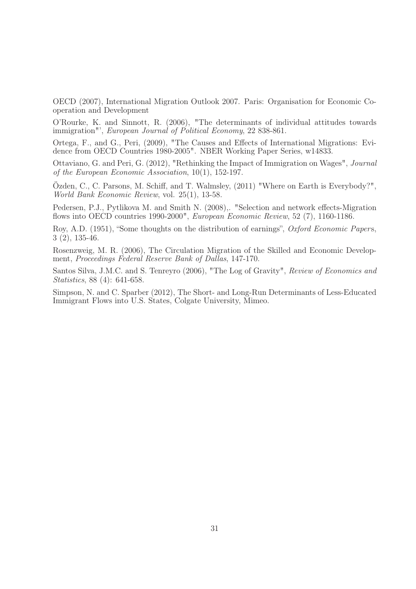OECD (2007), International Migration Outlook 2007. Paris: Organisation for Economic Cooperation and Development

O'Rourke, K. and Sinnott, R. (2006), "The determinants of individual attitudes towards immigration"', European Journal of Political Economy, 22 838-861.

Ortega, F., and G., Peri, (2009), "The Causes and Effects of International Migrations: Evidence from OECD Countries 1980-2005". NBER Working Paper Series, w14833.

Ottaviano, G. and Peri, G. (2012), "Rethinking the Impact of Immigration on Wages", Journal of the European Economic Association, 10(1), 152-197.

Özden, C., C. Parsons, M. Schiff, and T. Walmsley, (2011) "Where on Earth is Everybody?", World Bank Economic Review, vol. 25(1), 13-58.

Pedersen, P.J., Pytlikova M. and Smith N. (2008),. "Selection and network effects-Migration flows into OECD countries 1990-2000", European Economic Review, 52 (7), 1160-1186.

Roy, A.D. (1951), "Some thoughts on the distribution of earnings", Oxford Economic Papers, 3 (2), 135-46.

Rosenzweig, M. R. (2006), The Circulation Migration of the Skilled and Economic Development, Proceedings Federal Reserve Bank of Dallas, 147-170.

Santos Silva, J.M.C. and S. Tenreyro (2006), "The Log of Gravity", Review of Economics and Statistics, 88 (4): 641-658.

Simpson, N. and C. Sparber (2012), The Short- and Long-Run Determinants of Less-Educated Immigrant Flows into U.S. States, Colgate University, Mimeo.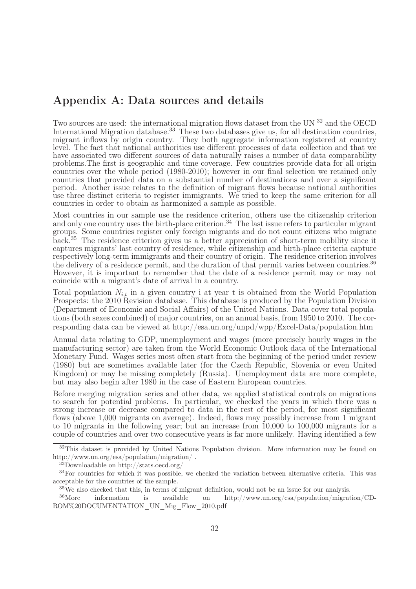## Appendix A: Data sources and details

Two sources are used: the international migration flows dataset from the UN  $^{32}$  and the OECD International Migration database.<sup>33</sup> These two databases give us, for all destination countries, migrant inflows by origin country. They both aggregate information registered at country level. The fact that national authorities use different processes of data collection and that we have associated two different sources of data naturally raises a number of data comparability problems.The first is geographic and time coverage. Few countries provide data for all origin countries over the whole period (1980-2010); however in our final selection we retained only countries that provided data on a substantial number of destinations and over a significant period. Another issue relates to the definition of migrant flows because national authorities use three distinct criteria to register immigrants. We tried to keep the same criterion for all countries in order to obtain as harmonized a sample as possible.

Most countries in our sample use the residence criterion, others use the citizenship criterion and only one country uses the birth-place criterion.<sup>34</sup> The last issue refers to particular migrant groups. Some countries register only foreign migrants and do not count citizens who migrate back.<sup>35</sup> The residence criterion gives us a better appreciation of short-term mobility since it captures migrants' last country of residence, while citizenship and birth-place criteria capture respectively long-term immigrants and their country of origin. The residence criterion involves the delivery of a residence permit, and the duration of that permit varies between countries.<sup>36</sup> However, it is important to remember that the date of a residence permit may or may not coincide with a migrant's date of arrival in a country.

Total population  $N_{i,t}$  in a given country i at year t is obtained from the World Population Prospects: the 2010 Revision database. This database is produced by the Population Division (Department of Economic and Social Affairs) of the United Nations. Data cover total populations (both sexes combined) of major countries, on an annual basis, from 1950 to 2010. The corresponding data can be viewed at http://esa.un.org/unpd/wpp/Excel-Data/population.htm

Annual data relating to GDP, unemployment and wages (more precisely hourly wages in the manufacturing sector) are taken from the World Economic Outlook data of the International Monetary Fund. Wages series most often start from the beginning of the period under review (1980) but are sometimes available later (for the Czech Republic, Slovenia or even United Kingdom) or may be missing completely (Russia). Unemployment data are more complete, but may also begin after 1980 in the case of Eastern European countries.

Before merging migration series and other data, we applied statistical controls on migrations to search for potential problems. In particular, we checked the years in which there was a strong increase or decrease compared to data in the rest of the period, for most significant flows (above 1,000 migrants on average). Indeed, flows may possibly increase from 1 migrant to 10 migrants in the following year; but an increase from 10,000 to 100,000 migrants for a couple of countries and over two consecutive years is far more unlikely. Having identified a few

<sup>&</sup>lt;sup>32</sup>This dataset is provided by United Nations Population division. More information may be found on http://www.un.org/esa/population/migration/ .

<sup>33</sup>Downloadable on http://stats.oecd.org/

<sup>&</sup>lt;sup>34</sup>For countries for which it was possible, we checked the variation between alternative criteria. This was acceptable for the countries of the sample.

<sup>&</sup>lt;sup>35</sup>We also checked that this, in terms of migrant definition, would not be an issue for our analysis.<br><sup>36</sup>More information is available on http://www.un.org/esa/population/migrat

<sup>36</sup>More information is available on http://www.un.org/esa/population/migration/CD-ROM%20DOCUMENTATION\_UN\_Mig\_Flow\_2010.pdf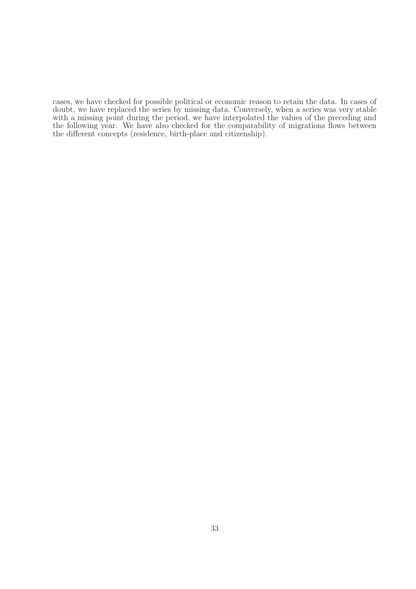cases, we have checked for possible political or economic reason to retain the data. In cases of doubt, we have replaced the series by missing data. Conversely, when a series was very stable with a missing point during the period, we have interpolated the values of the preceding and the following year. We have also checked for the comparability of migrations flows between the different concepts (residence, birth-place and citizenship).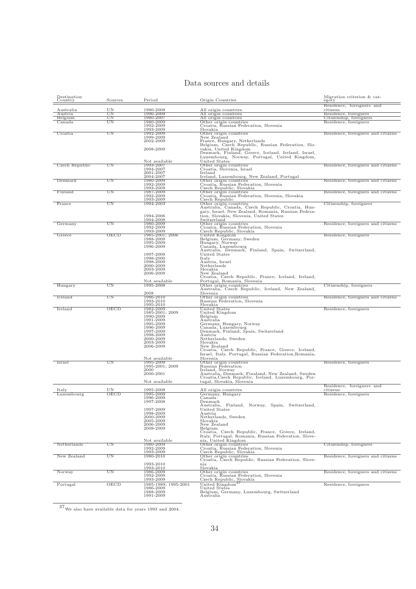#### Data sources and details

| $\operatorname{Destination}$<br>$\rm Country$ | Sources     | Period                                                              | Origin Countries                                                                                           | Migration criterion & cat-<br>egory   |
|-----------------------------------------------|-------------|---------------------------------------------------------------------|------------------------------------------------------------------------------------------------------------|---------------------------------------|
| Australia                                     | UN          | 1980-2008                                                           |                                                                                                            | Residence, foreigners and<br>citizens |
| Austria                                       | UΝ          | 1996-2009                                                           | All origin countries                                                                                       | Residence, foreigners                 |
| Belgium                                       | UΝ          | 1980-2007                                                           | All origin countries<br>All origin countries                                                               | Citizenship, foreigners               |
| Canada                                        | UΝ          | 1980-2009<br>1992-2009                                              | Other origin countries<br>Croatia, Russian Federation, Slovenia                                            | Residence, foreigners                 |
|                                               |             | 1993-2009                                                           | Slovakia                                                                                                   |                                       |
| Croatia                                       | $_{\rm UN}$ | 1992-2009                                                           | Other origin countries                                                                                     | Residence, foreigners and citizens    |
|                                               |             | 1999-2009<br>2002-2009                                              | New Zealand                                                                                                |                                       |
|                                               |             |                                                                     | France, Hungary, Netherlands<br>Belgium, Czech Republic, Russian Federation, Slo-                          |                                       |
|                                               |             | 2008-2009                                                           | vakia, United Kingdom<br>Denmark, Finland, Greece, Iceland, Ireland, Israel,                               |                                       |
|                                               |             |                                                                     | Luxembourg, Norway, Portugal, United Kingdom,                                                              |                                       |
|                                               |             | Not available                                                       | United States                                                                                              |                                       |
| Czech Republic                                | UΝ          | 1993-2007<br>1994-2007                                              | Other origin countries<br>Croatia, Slovenia, Israel                                                        | Residence, foreigners and citizens    |
|                                               |             | 2001-2007                                                           | Ireland                                                                                                    |                                       |
| Denmark                                       | UΝ          | 2004-2007<br>1980-2009                                              | Iceland, Luxembourg, New Zealand, Portugal                                                                 | Residence, foreigners and citizens    |
|                                               |             | 1992-2009                                                           | Other origin countries<br>Croatia, Russian Federation, Slovenia                                            |                                       |
|                                               | UΝ          | 1993-2009                                                           | Czech Republic, Slovakia                                                                                   |                                       |
| Finland                                       |             | 1987-2009<br>1992-2009                                              | Other origin countries<br>Croatia, Russian Federation, Slovenia, Slovakia                                  | Residence, foreigners and citizens    |
|                                               |             | 1993-2009                                                           | Czech Republic                                                                                             |                                       |
| France                                        | UΝ          | 1994-2003                                                           | Other origin countries<br>Australia, Canada, Czech Republic, Croatia, Hun-                                 | Citizenship, foreigners               |
|                                               |             |                                                                     | gary, Israel, New Zealand, Romania, Russian Federa-                                                        |                                       |
|                                               |             | 1994-2006<br>1994-2008                                              | tion, Slovakia, Slovenia, United States<br>Switzerland                                                     |                                       |
| Germany                                       | UΝ          | 1980-2009                                                           | Other origin countries                                                                                     | Residence, foreigners and citizens    |
|                                               |             | 1992-2009<br>1993-2009                                              | Croatia, Russian Federation, Slovenia                                                                      |                                       |
| Greece                                        | OECD        | 1985-2001; 2006                                                     | Czech Republic, Slovakia<br>United Kingdom                                                                 | Residence, foreigners                 |
|                                               |             | 1988-2009                                                           | Belgium, Germany, Sweden                                                                                   |                                       |
|                                               |             | 1995-2009<br>1996-2009                                              | Hungary, Norway<br>Canada, Luxembourg                                                                      |                                       |
|                                               |             |                                                                     | Australia, Denmark, Finland, Spain, Switzerland,                                                           |                                       |
|                                               |             | 1997-2009<br>1998-2000                                              | United States<br>Italy                                                                                     |                                       |
|                                               |             | 1998-2009                                                           | Austria, Israel                                                                                            |                                       |
|                                               |             | 2000-2009<br>2003-2009                                              | Netherlands<br>Slovakia                                                                                    |                                       |
|                                               |             | 2006-2009                                                           | New Zealand                                                                                                |                                       |
|                                               |             |                                                                     | Croatia, Czech Republic, France, Iceland, Ireland,                                                         |                                       |
| Hungary                                       | UN          | Not available<br>1995-2008                                          | Portugal, Romania, Slovenia<br>Other origin countries                                                      | Citizenship, foreigners               |
|                                               |             |                                                                     | Australia, Czech Republic, Iceland, New Zealand,                                                           |                                       |
| Iceland                                       | UN          | 2008<br>1986-2010                                                   | Slovenia<br>Other origin countries                                                                         | Residence, foreigners and citizens    |
|                                               |             | 1993-2010                                                           | Russian Federation, Slovenia                                                                               |                                       |
| Ireland                                       | OECD        | 1995-2010<br>1982-2009                                              | Slovakia                                                                                                   | Residence, foreigners                 |
|                                               |             | 1985-2001; 2009                                                     | United States<br>United Kingdom                                                                            |                                       |
|                                               |             | 1990-2009                                                           | Belgium<br>Australia                                                                                       |                                       |
|                                               |             | 1991-2009<br>1995-2009<br>1996-2009                                 | Germany, Hungary, Norway                                                                                   |                                       |
|                                               |             | 1997-2009                                                           | Canada, Luxembourg<br>Denmark, Finland, Spain, Switzerland                                                 |                                       |
|                                               |             | 1998-2009                                                           | Austria                                                                                                    |                                       |
|                                               |             | 2000-2009<br>2003-2009                                              | Netherlands, Sweden<br>Slovakia                                                                            |                                       |
|                                               |             | 2006-2009                                                           | New Zealand                                                                                                |                                       |
|                                               |             |                                                                     | Croatia, Czech Republic, France, Greece, Iceland,<br>Israel, Italy, Portugal, Russian Federation, Romania, |                                       |
|                                               |             | Not available                                                       | Slovenia                                                                                                   |                                       |
| Israel                                        | UΝ          | 1995-2009<br>1995-2001; 2009                                        | Other origin countries                                                                                     | Residence, foreigners                 |
|                                               |             | 2000                                                                | Russian Federation<br>Ireland, Norway                                                                      |                                       |
|                                               |             | 2000-2001                                                           | Australia, Denmark, Finaland, New Zealand, Sweden<br>Croatia, Czech Republic, Iceland, Luxembourg, Por-    |                                       |
|                                               |             | Not available                                                       | tugal, Slovakia, Slovenia                                                                                  |                                       |
|                                               |             |                                                                     |                                                                                                            | Residence, foreigners and             |
| Italy<br>Luxembourg                           | UN<br>OECD  | 1995-2008<br>1995-2009                                              | All origin countries<br>Germany, Hungary                                                                   | citizens<br>Residence, foreigners     |
|                                               |             | 1996-2009                                                           | Canada                                                                                                     |                                       |
|                                               |             | 1997-2008                                                           | Denmark<br>Finland, Norway, Spain, Switzerland,<br>Australia,                                              |                                       |
|                                               |             | 1997-2009                                                           | United States                                                                                              |                                       |
|                                               |             | 1998-2009<br>2000-2009                                              | Austria<br>Netherlands, Sweden                                                                             |                                       |
|                                               |             | 2005-2009                                                           | Slovakia                                                                                                   |                                       |
|                                               |             | 2006-2009<br>2008-2009                                              | New Zealand<br>Belgium                                                                                     |                                       |
|                                               |             |                                                                     | Croatia, Czech Republic, France, Greece, Ireland,                                                          |                                       |
|                                               |             | Not available                                                       | Italy, Portugal, Romania, Russian Federation, Slove-<br>nia, United Kingdom                                |                                       |
| Netherlands                                   | UN          | 1980-2009                                                           | Other origin countries                                                                                     | Citizenship, foreigners               |
|                                               |             | 1992-2009<br>1993-2009                                              | Croatia, Russian Federation, Slovenia<br>Czech Republic, Slovakia                                          |                                       |
| New Zealand                                   | UN          | 1980-2010                                                           | Other origin countries<br>Croatia, Czech Republic, Russian Federation, Slove-                              | Residence, foreigners and citizens    |
|                                               |             |                                                                     | nia                                                                                                        |                                       |
|                                               |             | $\begin{array}{c} 1993\text{-}2010 \\ 1993\text{-}2010 \end{array}$ | Slovakia                                                                                                   |                                       |
| Norway                                        | UN          | 1986-2009<br>1992-2009                                              | Other origin countries<br>Croatia, Russian Federation, Slovenia                                            | Residence, foreigners and citizens    |
|                                               |             | 1993-2009                                                           | Czech Republic, Slovakia                                                                                   |                                       |
| Portugal                                      | OECD        | 1985-1989; 1995-2001<br>1986-2009                                   | United Kingdom <sup>37</sup><br>United States                                                              | Residence, foreigners                 |
|                                               |             | 1988-2009                                                           | Belgium, Germany, Luxembourg, Switzerland                                                                  |                                       |
|                                               |             | 1991-2009                                                           | Australia                                                                                                  |                                       |

 $$\overline{\textrm{37}}_{\rm We}$  also have available data for years 1993 and 2004.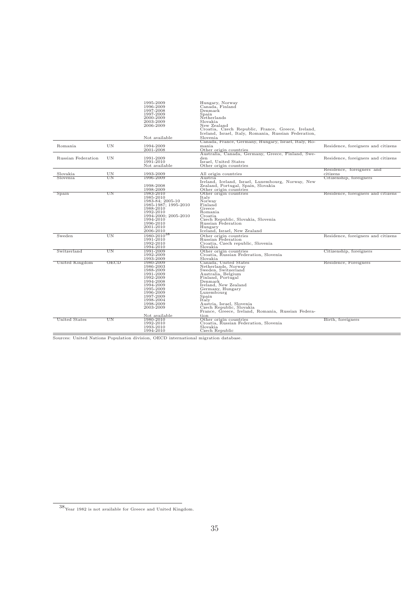|                      |          | 1995-2009<br>1996-2009<br>1997-2008<br>1997-2009<br>2000-2009                                                                                                                          | Hungary, Norway<br>Canada, Finland<br>Denmark<br>Spain<br>Netherlands                                                                                                                                                                                                                                                       |                                     |
|----------------------|----------|----------------------------------------------------------------------------------------------------------------------------------------------------------------------------------------|-----------------------------------------------------------------------------------------------------------------------------------------------------------------------------------------------------------------------------------------------------------------------------------------------------------------------------|-------------------------------------|
|                      |          | 2003-2009<br>2006-2009                                                                                                                                                                 | Slovakia<br>New Zealand<br>Croatia, Czech Republic, France, Greece, Ireland,<br>Iceland, Israel, Italy, Romania, Russian Federation,                                                                                                                                                                                        |                                     |
|                      |          | Not available                                                                                                                                                                          | Slovenia                                                                                                                                                                                                                                                                                                                    |                                     |
| Romania              | UN       | 1994-2009<br>2001-2008                                                                                                                                                                 | Canada, France, Germany, Hungary, Israel, Italy, Ro-<br>mania<br>Other origin countries                                                                                                                                                                                                                                     | Residence, foreigners and citizens  |
| Russian Federation   | UN       | 1991-2009<br>1991-2010<br>Not available                                                                                                                                                | Australia, Canada, Germany, Greece, Finland, Swe-<br>den<br>Israel, United States<br>Other origin countries                                                                                                                                                                                                                 | Residence, foreigners and citizens  |
|                      |          |                                                                                                                                                                                        |                                                                                                                                                                                                                                                                                                                             | Residence, foreigners and           |
| Slovakia<br>Slovenia | UΝ<br>ΠN | 1993-2009<br>1996-2009                                                                                                                                                                 | All origin countries<br>Austria.                                                                                                                                                                                                                                                                                            | citizens<br>Citizenship, foreigners |
|                      |          | 1998-2008<br>1998-2009                                                                                                                                                                 | Ireland, Iceland, Israel, Luxembourg, Norway, New<br>Zealand, Portugal, Spain, Slovakia<br>Other origin countries                                                                                                                                                                                                           |                                     |
| Spain                | UΝ       | 1983-2010<br>1985-2010<br>1983-84; 2005-10<br>1985-1987; 1995-2010<br>1988-2010<br>1992-2010<br>1994-2000; 2005-2010<br>1994-2010<br>1996-2010<br>2001-2010<br>2006-2010               | Other origin countries<br>Italy<br>Norway<br>Finland<br>Greece<br>Romania<br>Croatia<br>Czech Republic, Slovakia, Slovenia<br>Russian Federation<br>Hungary<br>Iceland, Israel, New Zealand                                                                                                                                 | Residence, foreigners and citizens  |
| Sweden               | UN       | 1980-2010 <sup>38</sup><br>1991-2010<br>1992-2010<br>1994-2010                                                                                                                         | Other origin countries<br>Russian Federation<br>Croatia, Czech republic, Slovenia<br>Slovakia                                                                                                                                                                                                                               | Residence, foreigners and citizens  |
| Switzerland          | UΝ       | 1991-2009<br>1992-2009<br>1993-2009                                                                                                                                                    | Other origin countries<br>Croatia, Russian Federation, Slovenia<br>Slovakia                                                                                                                                                                                                                                                 | Citizenship, foreigners             |
| United Kingdom       | OECD     | 1980-2009<br>1986-2003<br>1988-2009<br>1991-2009<br>1992-2009<br>1994-2008<br>1994-2009<br>1995-2009<br>1996-2009<br>1997-2009<br>1998-2004<br>1998-2009<br>2003-2009<br>Not available | Canada, United States<br>Netherlands, Norway<br>Sweden, Switzerland<br>Australia, Belgium<br>Finland, Portugal<br>Denmark<br>Ireland, New Zealand<br>Germany, Hungary<br>Luxembourg<br>Spain<br>Italy<br>Austria, Israel, Slovenia<br>Czech Republic, Slovakia<br>France, Greece, Ireland, Romania, Russian Federa-<br>tion | Residence, Foreigners               |
| United States        | UN       | 1980-2010<br>1992-2010<br>1993-2010<br>1994-2010                                                                                                                                       | Other origin countries<br>Croatia, Russian Federation, Slovenia<br>Slovakia<br>Czech Republic                                                                                                                                                                                                                               | Birth, foreigners                   |

Sources: United Nations Population division, OECD international migration database.

 $38\rm\,$  Year 1982 is not available for Greece and United Kingdom.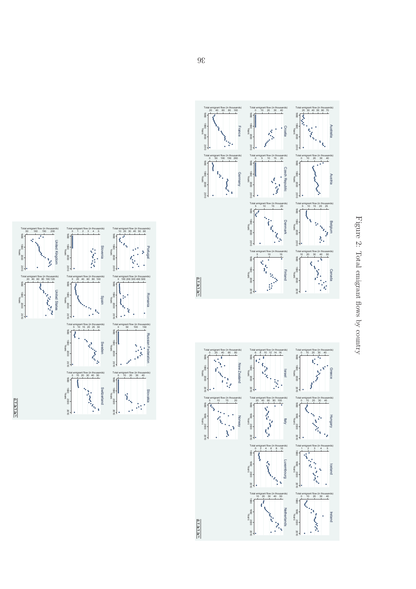





Figure 2: Total emigrant flows $\overline{q}$ country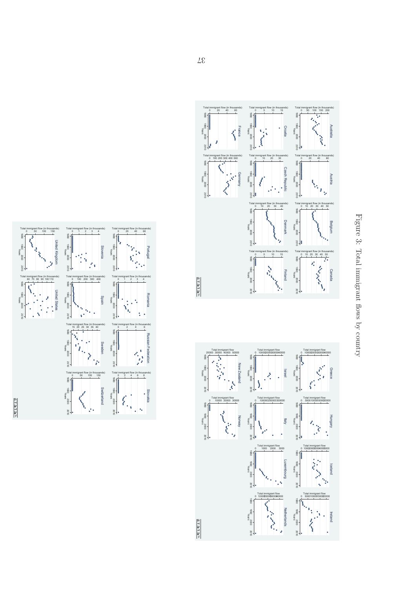





Figure 3: Total immigrant flows $\overline{Q}$ country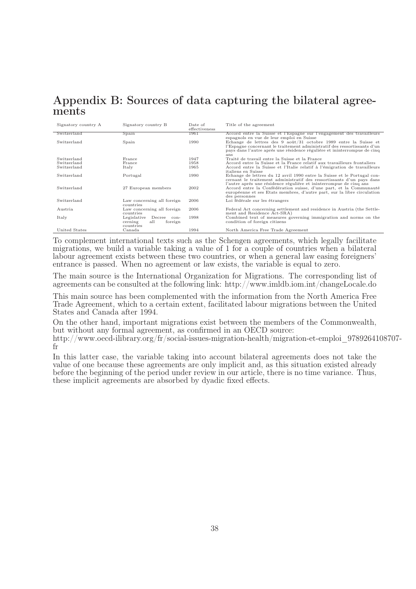## Appendix B: Sources of data capturing the bilateral agreements

| Signatory country A | Signatory country B                                                  | Date of<br>effectiveness | Title of the agreement                                                                                                                                                                                                                                                       |
|---------------------|----------------------------------------------------------------------|--------------------------|------------------------------------------------------------------------------------------------------------------------------------------------------------------------------------------------------------------------------------------------------------------------------|
| Switzerland         | Spain                                                                | 1961                     | Accord entre la Suisse et l'Espagne sur l'engagement des travailleurs                                                                                                                                                                                                        |
| Switzerland         | Spain                                                                | 1990                     | espagnols en vue de leur emploi en Suisse<br>Echange de lettres des 9 août/31 octobre 1989 entre la Suisse et<br>l'Espagne concernant le traitement administratif des ressortissants d'un<br>pays dans l'autre après une résidence régulière et ininterrompue de cinq<br>ans |
| Switzerland         | France                                                               | 1947                     | Traité de travail entre la Suisse et la France                                                                                                                                                                                                                               |
| Switzerland         | France                                                               | 1958                     | Accord entre la Suisse et la France relatif aux travailleurs frontaliers                                                                                                                                                                                                     |
| Switzerland         | Italy                                                                | 1965                     | Accord entre la Suisse et l'Italie relatif à l'émigration de travailleurs<br>italiens en Suisse                                                                                                                                                                              |
| Switzerland         | Portugal                                                             | 1990                     | Echange de lettres du 12 avril 1990 entre la Suisse et le Portugal con-<br>cernant le traitement administratif des ressortissants d'un pays dans<br>l'autre après une résidence régulière et ininterrompue de cinq ans                                                       |
| Switzerland         | 27 European members                                                  | 2002                     | Accord entre la Confédération suisse, d'une part, et la Communauté<br>européenne et ses Etats membres, d'autre part, sur la libre circulation<br>des personnes                                                                                                               |
| Switzerland         | Law concerning all foreign<br>countries                              | 2006                     | Loi fédérale sur les étrangers                                                                                                                                                                                                                                               |
| Austria             | Law concerning all foreign<br>countries                              | 2006                     | Federal Act concerning settlement and residence in Austria (the Settle-<br>ment and Residence Act-SRA)                                                                                                                                                                       |
| Italy               | Legislative Decree<br>con-<br>all<br>foreign<br>cerning<br>countries | 1998                     | Combined text of measures governing immigration and norms on the<br>condition of foreign citizens                                                                                                                                                                            |
| United States       | Canada                                                               | 1994                     | North America Free Trade Agreement                                                                                                                                                                                                                                           |
|                     |                                                                      |                          |                                                                                                                                                                                                                                                                              |

To complement international texts such as the Schengen agreements, which legally facilitate migrations, we build a variable taking a value of 1 for a couple of countries when a bilateral labour agreement exists between these two countries, or when a general law easing foreigners' entrance is passed. When no agreement or law exists, the variable is equal to zero.

The main source is the International Organization for Migrations. The corresponding list of agreements can be consulted at the following link: http://www.imldb.iom.int/changeLocale.do

This main source has been complemented with the information from the North America Free Trade Agreement, which to a certain extent, facilitated labour migrations between the United States and Canada after 1994.

On the other hand, important migrations exist between the members of the Commonwealth, but without any formal agreement, as confirmed in an OECD source:

http://www.oecd-ilibrary.org/fr/social-issues-migration-health/migration-et-emploi\_9789264108707 fr

In this latter case, the variable taking into account bilateral agreements does not take the value of one because these agreements are only implicit and, as this situation existed already before the beginning of the period under review in our article, there is no time variance. Thus, these implicit agreements are absorbed by dyadic fixed effects.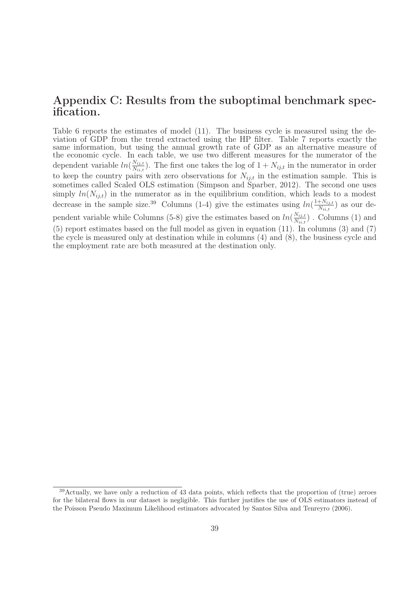## Appendix C: Results from the suboptimal benchmark specification.

Table 6 reports the estimates of model (11). The business cycle is measured using the deviation of GDP from the trend extracted using the HP filter. Table 7 reports exactly the same information, but using the annual growth rate of GDP as an alternative measure of the economic cycle. In each table, we use two different measures for the numerator of the dependent variable  $ln(\frac{N_{ij,t}}{N_{ij,t}})$  $\frac{N_{ij,t}}{N_{ii,t}}$ ). The first one takes the log of  $1 + N_{ij,t}$  in the numerator in order to keep the country pairs with zero observations for  $N_{ij,t}$  in the estimation sample. This is sometimes called Scaled OLS estimation (Simpson and Sparber, 2012). The second one uses simply  $ln(N_{ij,t})$  in the numerator as in the equilibrium condition, which leads to a modest decrease in the sample size.<sup>39</sup> Columns (1-4) give the estimates using  $ln(\frac{1+N_{ij,t}}{N_{ij,t}})$  $\frac{N_{ij,t}}{N_{ii,t}}$  as our dependent variable while Columns (5-8) give the estimates based on  $ln(\frac{N_{ij,t}}{N_{ij,t}})$  $\frac{N_{ij,t}}{N_{ii,t}}$ ). Columns (1) and (5) report estimates based on the full model as given in equation (11). In columns (3) and (7) the cycle is measured only at destination while in columns (4) and (8), the business cycle and the employment rate are both measured at the destination only.

<sup>&</sup>lt;sup>39</sup>Actually, we have only a reduction of 43 data points, which reflects that the proportion of (true) zeroes for the bilateral flows in our dataset is negligible. This further justifies the use of OLS estimators instead of the Poisson Pseudo Maximum Likelihood estimators advocated by Santos Silva and Tenreyro (2006).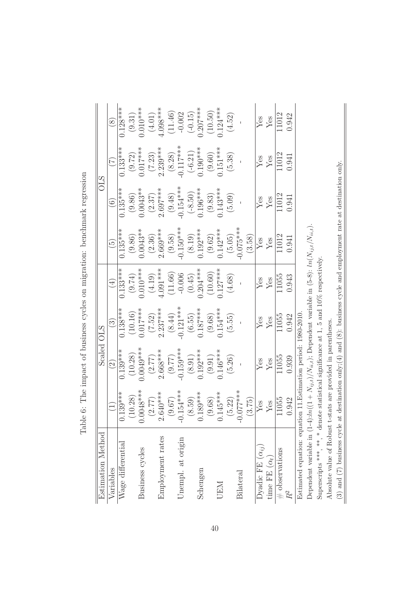| Estimation Method                                                                                                   |                             | Scaled OLS           |                      |                        |                      |                        | <b>OLS</b>                |                        |
|---------------------------------------------------------------------------------------------------------------------|-----------------------------|----------------------|----------------------|------------------------|----------------------|------------------------|---------------------------|------------------------|
| Variables                                                                                                           |                             | $\odot$              | $\odot$              | $\bigoplus$            | $\widetilde{\Xi})$   | $\odot$                | $\widetilde{\mathcal{L}}$ | $\circled{s}$          |
| Wage differential                                                                                                   | $0.139***$                  | $0.139***$           | $0.138***$           | $0.133***$             | $0.135***$           | $0.135***$             | $0.133***$                | $0.128***$             |
|                                                                                                                     | (10.28)                     | (10.28)              | (10.16)              |                        |                      |                        |                           | (9.31)                 |
| Business cycles                                                                                                     | $048***$                    | $0.0049***$          | $0.017***$           | $(9.74)$<br>0.010***   | $(9.86)$<br>0.0043** | $(9.86)$<br>$0.0043**$ | $(9.72)$<br>0.017***      | $0.010***$             |
|                                                                                                                     | (2.77)                      | $(2.77)$<br>2.668*** |                      | $(4.19)$<br>$4.091***$ | (2.36)               | (2.37)                 | $(7.23)$<br>2.239***      |                        |
| Employment rates                                                                                                    | $2.640***$                  |                      | $(7.52)$<br>2.237*** |                        | $2.669***$           | $2.697***$             |                           | $(4.01)$<br>$4.098***$ |
|                                                                                                                     | (9.67)                      | (9.77)               | (8.44)               |                        | $(9.58)$             | $(9.48)$<br>-0.154***  | $(8.28)$<br>-0.117***     |                        |
| Unempl. at origin                                                                                                   | $154***$<br>ု               | $-0.159***$          | $-0.121***$          | $(11.66)$<br>-0.006    | $-0.150***$          |                        |                           | $(11.46)$<br>-0.002    |
|                                                                                                                     | (8.59)                      | $\left( 8.91\right)$ | $(6.55)$<br>0.187*** | $(0.45)$<br>0.204***   |                      | $(-8.50)$<br>0.196***  | $(-6.21)$                 | $(-0.15)$              |
| Schengen                                                                                                            | $0.189***$                  | $0.192***$           |                      |                        | $(8.19)$<br>0.192*** |                        | $0.190***$                | $0.207***$             |
|                                                                                                                     | (9.68)                      | (9.91)               |                      | (10.60)                | $(9.62)$             |                        |                           | (10.50)                |
| <b>UEM</b>                                                                                                          | $.145***$                   | $0.146***$           | $(9.68)$<br>0.154*** | $0.127***$             | $0.142***$           | $(9.83)$<br>0.143***   | $(9.60)$<br>0.151***      | $0.124***$             |
|                                                                                                                     | (5.22)                      | (5.26)               | (5.55)               | (4.68)                 | (5.05)               | (5.09)                 | (5.38)                    | (4.52)                 |
| Bilateral                                                                                                           | $077***$<br>$\overline{Q}$  |                      |                      |                        | $0.075***$           |                        |                           |                        |
|                                                                                                                     | (3.75)                      |                      |                      |                        | (3.58)               |                        |                           |                        |
| Dyadic FE $(\alpha_{ij})$                                                                                           | $\sqrt{\text{Res}}$         | ${\rm Yes}$          | $\operatorname{Yes}$ |                        | $\overline{Y}$ es    |                        |                           | ${\rm Yes}$            |
| time FE $(\alpha_t)$                                                                                                | $\ensuremath{\mathrm{Yes}}$ | ${\rm Yes}$          | $\operatorname{Yes}$ | $Y_{CS}$               | ${\rm Yes}$          | $_{\rm Yes}^{\rm Yes}$ | $_{\rm Yes}^{\rm Yes}$    | $\rm Yes$              |
| $#$ observations                                                                                                    | 11055                       | 11055                | 11055                | 11055                  | 11012                | 11012                  | 11012                     | 11012                  |
| $R^2$                                                                                                               | 0.942                       | 0.939                | 0.942                | 0.943                  | 0.941                | 0.941                  | 0.941                     | 0.942                  |
| Estimated equation: equation 11. Estimation period: 1980-2010                                                       |                             |                      |                      |                        |                      |                        |                           |                        |
| Dependent variable in $(1-4)! \ln((1+N_{ij,t})/N_{ii,t})$ ; Dependent variable in $(5-8)!$ $\ln(N_{ij,t}/N_{ii,t})$ |                             |                      |                      |                        |                      |                        |                           |                        |
| Superscripts ***, * denote statistical significance at 1, 5 and 10% respectively.                                   |                             |                      |                      |                        |                      |                        |                           |                        |

Absolute value of Robust t-stats are provided in parentheses.

Absolute value of Robust t-stats are provided in parentheses.

(3) and (7) business cycle at destination only;(4) and (8): business cycle and employment rate at destination only.

(3) and (7) business cycle at destination only;(4) and (8): business cycle and employment rate at destination only.

Table 6: The impact of business cycles on migration: benchmark regression Table 6: The impact of business cycles on migration: benchmark regression

40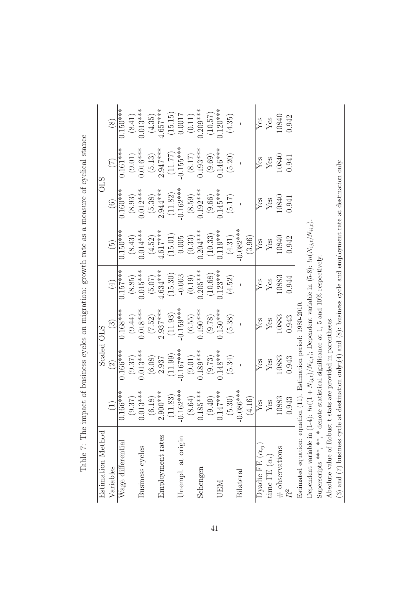| $\overline{\phantom{a}}$                                                                                                       |
|--------------------------------------------------------------------------------------------------------------------------------|
|                                                                                                                                |
| )<br>}<br>)                                                                                                                    |
| <b>CONGRETING CONGRETA</b>                                                                                                     |
|                                                                                                                                |
|                                                                                                                                |
| $\frac{1}{4}$<br>;<br>(<br>)                                                                                                   |
| in and on an winestign or another and a a a policie of and of and at a<br>$\lambda$ . Thomas is the complete of $\lambda$<br>⟩ |
|                                                                                                                                |
| $\sum_{i=1}^{\infty}$                                                                                                          |
| J<br>)<br>}<br>}<br>}                                                                                                          |
|                                                                                                                                |
| want the me                                                                                                                    |
|                                                                                                                                |
| アルレ ブ ブル<br>ì<br>$\frac{1}{2}$<br>I                                                                                            |

| Estimation Method                                                                                                         |                                   | Scaled                                         | <b>OLS</b>                   |                        |                               |                        | <b>OLS</b>             |                                             |
|---------------------------------------------------------------------------------------------------------------------------|-----------------------------------|------------------------------------------------|------------------------------|------------------------|-------------------------------|------------------------|------------------------|---------------------------------------------|
| Variables                                                                                                                 | $\begin{pmatrix} 1 \end{pmatrix}$ | $\odot$                                        | $\left( \frac{3}{2} \right)$ | (4)                    | $\left(\frac{5}{2}\right)$    | $\bigcirc$             | (7)                    | $\circledS$                                 |
| Wage differential                                                                                                         | $.166***$                         | $0.166***$                                     | $0.168***$                   | $0.157***$             | $0.150***$                    | $0.160***$             | $0.161***$             | $0.150***$                                  |
|                                                                                                                           | (9.37)                            | (9.37)                                         | (9.44)                       | (8.85)                 | (8.43)                        | $(8.93)$<br>0.012***   | (9.01)                 | (8.41)                                      |
| Business cycles                                                                                                           | $0.013***$                        | $0.013***$                                     | $0.018***$                   | $0.015***$             | $0.014***$                    |                        | $0.016***$             | $0.013***$                                  |
|                                                                                                                           | (6.18)                            | $\begin{array}{c} (6.08) \\ 2.937 \end{array}$ | $(7.52)$<br>2.937***         | $(5.07)$<br>4.634***   | $(4.52)$<br>$4.617***$        | $(5.38)$<br>2.944***   | $(5.13)$<br>2.947***   | $(4.35)$<br>$4.657***$                      |
| Employment rates                                                                                                          | $2.900***$                        |                                                |                              |                        |                               |                        |                        |                                             |
|                                                                                                                           | (11.83)                           | (11.99)                                        | (11.93)                      | $(15.30)$<br>-0.003    | $\left( 15.01\right)$ $0.005$ | $(11.82)$<br>-0.162*** | $(11.77)$<br>-0.155*** |                                             |
| Unempl. at origin                                                                                                         | $0.162***$                        | $-0.167***$                                    | $-0.159***$                  |                        |                               |                        |                        | $(15.15)$<br>0.0017<br>$(0.11)$<br>0.209*** |
|                                                                                                                           | (8.64)                            | $(9.01)$                                       |                              | $(0.19)$<br>0.205***   | (0.33)                        |                        |                        |                                             |
| Schengen                                                                                                                  | $185***$                          | $0.189***$                                     | $(6.55)$<br>0.190***         |                        | $0.204***$                    | $(8.59)$<br>0.192***   | $(8.17)$<br>0.193***   |                                             |
|                                                                                                                           | (9.49)                            | (9.73)                                         | (9.78)                       | (10.68)                | $(10.33)$<br>0.119***         |                        | (9.69)                 | (10.57)                                     |
| <b>UEM</b>                                                                                                                | $.147***$                         | $0.148***$                                     | $0.150***$                   | $0.123***$             |                               | $(9.66)$<br>0.145***   | $0.146***$             | $0.120***$                                  |
|                                                                                                                           | (5.30)                            | (5.34)                                         | (5.38)                       | (4.52)                 |                               | (5.17)                 | $(5.20)$               | (4.35)                                      |
| <b>Bilateral</b>                                                                                                          | $-086***$                         |                                                |                              |                        | $(4.31)$<br>-0.082***         |                        |                        |                                             |
|                                                                                                                           | (4.16)                            |                                                |                              |                        | (3.96)                        |                        |                        |                                             |
| Dyadic FE $(\alpha_{ij})$                                                                                                 | $\operatorname{Yes}$              | $_{\rm Yes}^{\rm Yes}$                         | $Y_{\text{es}}$              | $_{\rm Yes}^{\rm Yes}$ | $_{\rm Yes}^{\rm Yes}$        |                        | $_{\rm Yes}^{\rm Yes}$ | $_{\rm Yes}^{\rm Yes}$                      |
| time FE $(\alpha_t)$                                                                                                      | $\mathbf{Y}\mathbf{e}\mathbf{s}$  |                                                |                              |                        |                               | $_{\rm Yes}^{\rm Yes}$ |                        |                                             |
| $#$ observations                                                                                                          | 10883                             | 10883                                          | 10883                        | 10883                  | 10840                         | 10840                  | 10840                  | 10840                                       |
|                                                                                                                           | 0.943                             | 0.943                                          | 0.943                        | 0.944                  | 0.942                         | 0.941                  | 0.941                  | 0.942                                       |
| Estimated equation: equation (11). Estimation period: 1980-2010                                                           |                                   |                                                |                              |                        |                               |                        |                        |                                             |
| Dependent variable in $(1-4)$ : $ln((1 + N_{ij,t})/N_{ii,t})$ ; Dependent variable in $(5-8)$ : $ln(N_{ij,t}/N_{ii,t})$ . |                                   |                                                |                              |                        |                               |                        |                        |                                             |
| さささ ささ                                                                                                                    |                                   |                                                |                              |                        |                               |                        |                        |                                             |

Superscripts \*\*\*, \*  $\star$  denote statistical significance at 1, 5 and 10% respectively. Superscripts \*\*\*, \*\*, \* denote statistical significance at 1, 5 and 10% respectively.

Absolute value of Robust t-stats are provided in parentheses. Absolute value of Robust t-stats are provided in parentheses.

(3) and (7) business cycle at destination only;(4) and (8): business cycle and employment rate at destination only. (3) and (7) business cycle at destination only;(4) and (8): business cycle and employment rate at destination only.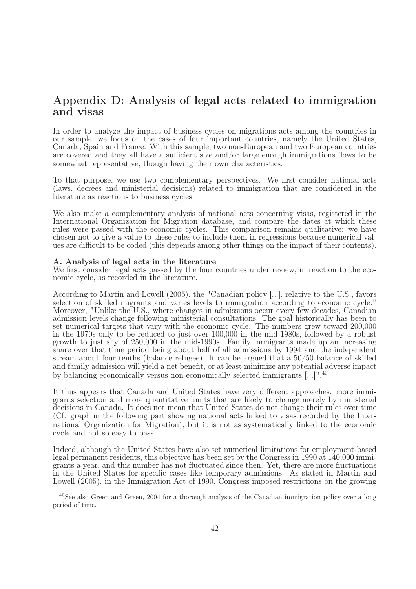## Appendix D: Analysis of legal acts related to immigration and visas

In order to analyze the impact of business cycles on migrations acts among the countries in our sample, we focus on the cases of four important countries, namely the United States, Canada, Spain and France. With this sample, two non-European and two European countries are covered and they all have a sufficient size and/or large enough immigrations flows to be somewhat representative, though having their own characteristics.

To that purpose, we use two complementary perspectives. We first consider national acts (laws, decrees and ministerial decisions) related to immigration that are considered in the literature as reactions to business cycles.

We also make a complementary analysis of national acts concerning visas, registered in the International Organization for Migration database, and compare the dates at which these rules were passed with the economic cycles. This comparison remains qualitative: we have chosen not to give a value to these rules to include them in regressions because numerical values are difficult to be coded (this depends among other things on the impact of their contents).

#### A. Analysis of legal acts in the literature

We first consider legal acts passed by the four countries under review, in reaction to the economic cycle, as recorded in the literature.

According to Martin and Lowell (2005), the "Canadian policy [...], relative to the U.S., favors selection of skilled migrants and varies levels to immigration according to economic cycle." Moreover, "Unlike the U.S., where changes in admissions occur every few decades, Canadian admission levels change following ministerial consultations. The goal historically has been to set numerical targets that vary with the economic cycle. The numbers grew toward 200,000 in the 1970s only to be reduced to just over 100,000 in the mid-1980s, followed by a robust growth to just shy of 250,000 in the mid-1990s. Family immigrants made up an increasing share over that time period being about half of all admissions by 1994 and the independent stream about four tenths (balance refugee). It can be argued that a 50/50 balance of skilled and family admission will yield a net benefit, or at least minimize any potential adverse impact by balancing economically versus non-economically selected immigrants [...]".<sup>40</sup>

It thus appears that Canada and United States have very different approaches: more immigrants selection and more quantitative limits that are likely to change merely by ministerial decisions in Canada. It does not mean that United States do not change their rules over time (Cf. graph in the following part showing national acts linked to visas recorded by the International Organization for Migration), but it is not as systematically linked to the economic cycle and not so easy to pass.

Indeed, although the United States have also set numerical limitations for employment-based legal permanent residents, this objective has been set by the Congress in 1990 at 140,000 immigrants a year, and this number has not fluctuated since then. Yet, there are more fluctuations in the United States for specific cases like temporary admissions. As stated in Martin and Lowell (2005), in the Immigration Act of 1990, Congress imposed restrictions on the growing

<sup>40</sup>See also Green and Green, 2004 for a thorough analysis of the Canadian immigration policy over a long period of time.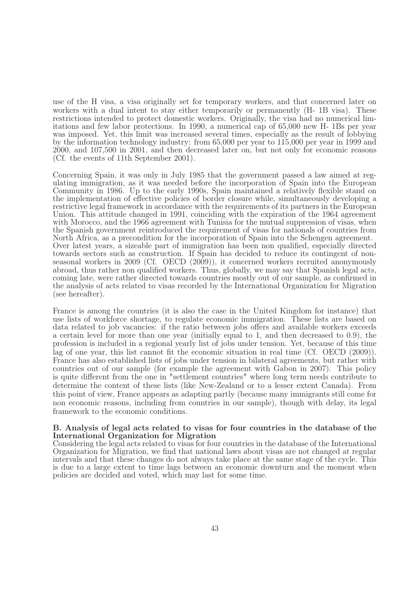use of the H visa, a visa originally set for temporary workers, and that concerned later on workers with a dual intent to stay either temporarily or permanently  $(H - 1B \text{ visa})$ . These restrictions intended to protect domestic workers. Originally, the visa had no numerical limitations and few labor protections. In 1990, a numerical cap of 65,000 new H- 1Bs per year was imposed. Yet, this limit was increased several times, especially as the result of lobbying by the information technology industry: from 65,000 per year to 115,000 per year in 1999 and 2000, and 107,500 in 2001, and then decreased later on, but not only for economic reasons (Cf. the events of 11th September 2001).

Concerning Spain, it was only in July 1985 that the government passed a law aimed at regulating immigration, as it was needed before the incorporation of Spain into the European Community in 1986. Up to the early 1990s, Spain maintained a relatively flexible stand on the implementation of effective policies of border closure while, simultaneously developing a restrictive legal framework in accordance with the requirements of its partners in the European Union. This attitude changed in 1991, coinciding with the expiration of the 1964 agreement with Morocco, and the 1966 agreement with Tunisia for the mutual suppression of visas, when the Spanish government reintroduced the requirement of visas for nationals of countries from North Africa, as a precondition for the incorporation of Spain into the Schengen agreement. Over latest years, a sizeable part of immigration has been non qualified, especially directed towards sectors such as construction. If Spain has decided to reduce its contingent of nonseasonal workers in 2009 (Cf. OECD (2009)), it concerned workers recruited anonymously abroad, thus rather non qualified workers. Thus, globally, we may say that Spanish legal acts, coming late, were rather directed towards countries mostly out of our sample, as confirmed in the analysis of acts related to visas recorded by the International Organization for Migration (see hereafter).

France is among the countries (it is also the case in the United Kingdom for instance) that use lists of workforce shortage, to regulate economic immigration. These lists are based on data related to job vacancies: if the ratio between jobs offers and available workers exceeds a certain level for more than one year (initially equal to 1, and then decreased to 0.9), the profession is included in a regional yearly list of jobs under tension. Yet, because of this time lag of one year, this list cannot fit the economic situation in real time (Cf. OECD (2009)). France has also established lists of jobs under tension in bilateral agreements, but rather with countries out of our sample (for example the agreement with Gabon in 2007). This policy is quite different from the one in "settlement countries" where long term needs contribute to determine the content of these lists (like New-Zealand or to a lesser extent Canada). From this point of view, France appears as adapting partly (because many immigrants still come for non economic reasons, including from countries in our sample), though with delay, its legal framework to the economic conditions.

#### B. Analysis of legal acts related to visas for four countries in the database of the International Organization for Migration

Considering the legal acts related to visas for four countries in the database of the International Organization for Migration, we find that national laws about visas are not changed at regular intervals and that these changes do not always take place at the same stage of the cycle. This is due to a large extent to time lags between an economic downturn and the moment when policies are decided and voted, which may last for some time.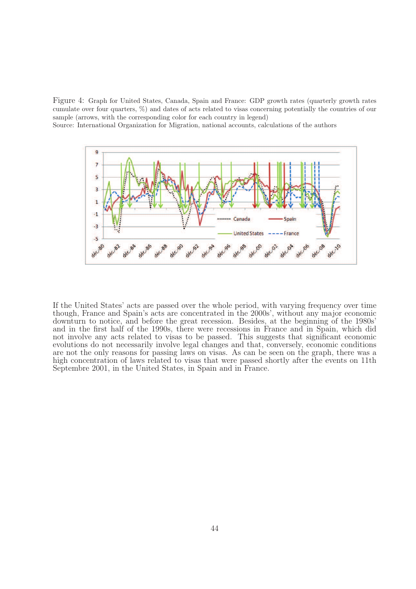Figure 4: Graph for United States, Canada, Spain and France: GDP growth rates (quarterly growth rates cumulate over four quarters, %) and dates of acts related to visas concerning potentially the countries of our sample (arrows, with the corresponding color for each country in legend)

Source: International Organization for Migration, national accounts, calculations of the authors



If the United States' acts are passed over the whole period, with varying frequency over time though, France and Spain's acts are concentrated in the 2000s', without any major economic downturn to notice, and before the great recession. Besides, at the beginning of the 1980s' and in the first half of the 1990s, there were recessions in France and in Spain, which did not involve any acts related to visas to be passed. This suggests that significant economic evolutions do not necessarily involve legal changes and that, conversely, economic conditions are not the only reasons for passing laws on visas. As can be seen on the graph, there was a high concentration of laws related to visas that were passed shortly after the events on 11th Septembre 2001, in the United States, in Spain and in France.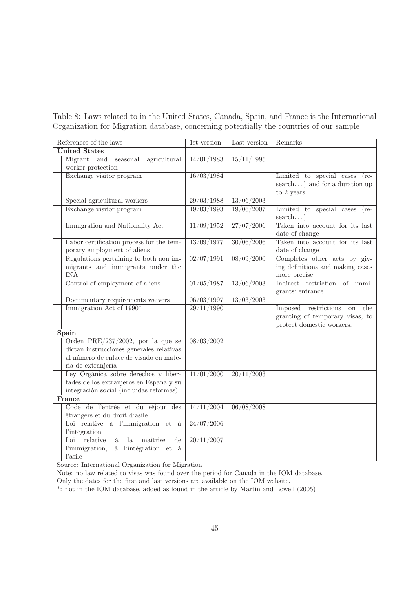Table 8: Laws related to in the United States, Canada, Spain, and France is the International Organization for Migration database, concerning potentially the countries of our sample

| References of the laws                                              | 1st version | Last version                   | Remarks                                     |
|---------------------------------------------------------------------|-------------|--------------------------------|---------------------------------------------|
| <b>United States</b>                                                |             |                                |                                             |
| Migrant<br>and<br>agricultural<br>seasonal                          | 14/01/1983  | 15/11/1995                     |                                             |
| worker protection                                                   |             |                                |                                             |
| Exchange visitor program                                            | 16/03/1984  |                                | Limited to special cases<br>$(re-$          |
|                                                                     |             |                                | search) and for a duration up               |
|                                                                     |             |                                | to 2 years                                  |
| Special agricultural workers                                        | 29/03/1988  | 13/06/2003                     |                                             |
| Exchange visitor program                                            | 19/03/1993  | 19/06/2007                     | Limited to special cases<br>$(re-$          |
|                                                                     |             |                                | search)                                     |
| Immigration and Nationality Act                                     | 11/09/1952  | 27/07/2006                     | Taken into account for its last             |
|                                                                     |             |                                | date of change                              |
| Labor certification process for the tem-                            | 13/09/1977  | 30/06/2006                     | Taken into account for its last             |
| porary employment of aliens                                         |             |                                | date of change                              |
| Regulations pertaining to both non im-                              | 02/07/1991  | 08/09/2000                     | Completes other acts by giv-                |
| migrants and immigrants under the                                   |             |                                | ing definitions and making cases            |
| <b>INA</b>                                                          |             |                                | more precise                                |
| Control of employment of aliens                                     | 01/05/1987  | 13/06/2003                     | Indirect restriction of immi-               |
|                                                                     |             |                                | grants' entrance                            |
| Documentary requirements waivers                                    | 06/03/1997  | 13/03/2003                     |                                             |
| Immigration Act of 1990*                                            | 29/11/1990  |                                | Imposed<br>restrictions<br>the<br><b>on</b> |
|                                                                     |             |                                | granting of temporary visas, to             |
|                                                                     |             |                                | protect domestic workers.                   |
| Spain                                                               |             |                                |                                             |
| Orden PRE/237/2002, por la que se                                   | 08/03/2002  |                                |                                             |
| dictan instrucciones generales relativas                            |             |                                |                                             |
| al número de enlace de visado en mate-                              |             |                                |                                             |
| ria de extranjería<br>Ley Orgánica sobre derechos y liber-          | 11/01/2000  | $\frac{20}{11}{\frac{2003}{}}$ |                                             |
| tades de los extranjeros en España y su                             |             |                                |                                             |
| integración social (incluidas reformas)                             |             |                                |                                             |
| France                                                              |             |                                |                                             |
| Code de l'entrée et du séjour des                                   | 14/11/2004  | 06/08/2008                     |                                             |
| étrangers et du droit d'asile                                       |             |                                |                                             |
| Loi relative à l'immigration et à                                   | 24/07/2006  |                                |                                             |
| l'intégration                                                       |             |                                |                                             |
| Loi<br>relative<br>maîtrise<br>$l$ a<br>$\overline{\text{de}}$<br>à | 20/11/2007  |                                |                                             |
| à l'intégration et à<br>l'immigration,                              |             |                                |                                             |
| l'asile                                                             |             |                                |                                             |

Source: International Organization for Migration

Note: no law related to visas was found over the period for Canada in the IOM database.

Only the dates for the first and last versions are available on the IOM website.

\*: not in the IOM database, added as found in the article by Martin and Lowell (2005)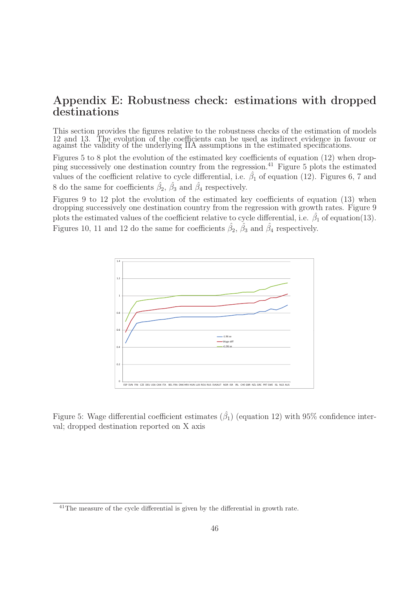## Appendix E: Robustness check: estimations with dropped destinations

This section provides the figures relative to the robustness checks of the estimation of models 12 and 13. The evolution of the coefficients can be used as indirect evidence in favour or against the validity of the underlying IIA assumptions in the estimated specifications.

Figures 5 to 8 plot the evolution of the estimated key coefficients of equation (12) when dropping successively one destination country from the regression.<sup>41</sup> Figure 5 plots the estimated values of the coefficient relative to cycle differential, i.e.  $\hat{\beta}_1$  of equation (12). Figures 6, 7 and 8 do the same for coefficients  $\hat{\beta}_2$ ,  $\hat{\beta}_3$  and  $\hat{\beta}_4$  respectively.

Figures 9 to 12 plot the evolution of the estimated key coefficients of equation (13) when dropping successively one destination country from the regression with growth rates. Figure 9 plots the estimated values of the coefficient relative to cycle differential, i.e.  $\hat{\beta}_1$  of equation(13). Figures 10, 11 and 12 do the same for coefficients  $\hat{\beta}_2$ ,  $\hat{\beta}_3$  and  $\hat{\beta}_4$  respectively.



Figure 5: Wage differential coefficient estimates  $(\hat{\beta}_1)$  (equation 12) with 95% confidence interval; dropped destination reported on X axis

<sup>&</sup>lt;sup>41</sup>The measure of the cycle differential is given by the differential in growth rate.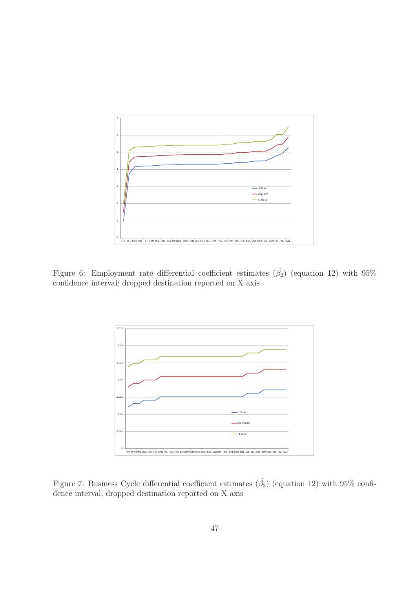

Figure 6: Employment rate differential coefficient estimates  $(\hat{\beta}_2)$  (equation 12) with 95% confidence interval; dropped destination reported on X axis



Figure 7: Business Cycle differential coefficient estimates  $(\hat{\beta}_3)$  (equation 12) with 95% confidence interval; dropped destination reported on X axis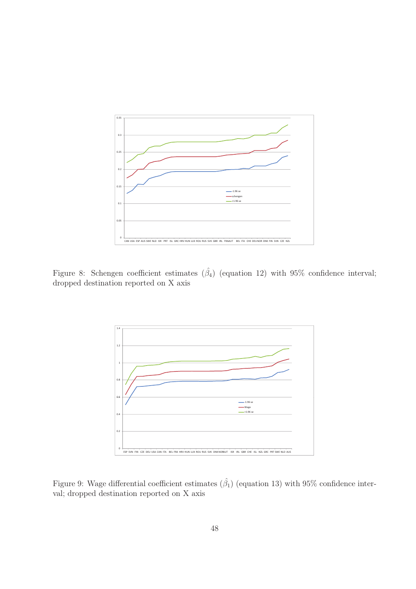

Figure 8: Schengen coefficient estimates  $(\hat{\beta}_4)$  (equation 12) with 95% confidence interval; dropped destination reported on X axis



Figure 9: Wage differential coefficient estimates  $(\hat{\beta}_1)$  (equation 13) with 95% confidence interval; dropped destination reported on X axis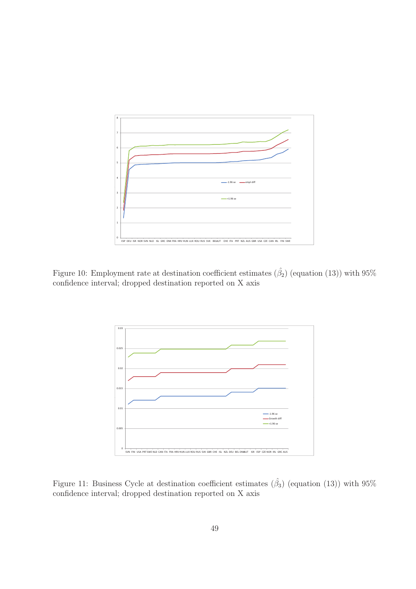

Figure 10: Employment rate at destination coefficient estimates  $(\hat{\beta}_2)$  (equation (13)) with 95% confidence interval; dropped destination reported on X axis



Figure 11: Business Cycle at destination coefficient estimates  $(\hat{\beta}_3)$  (equation (13)) with 95% confidence interval; dropped destination reported on X axis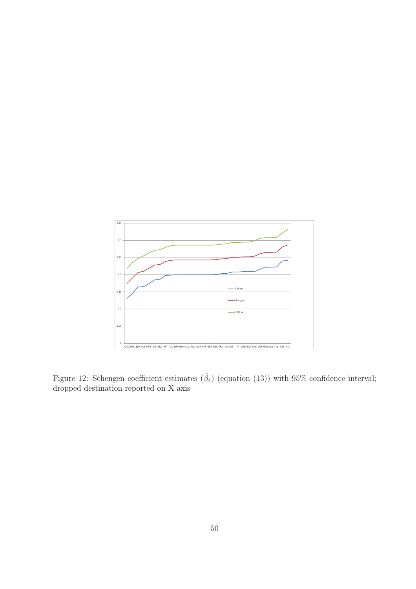

Figure 12: Schengen coefficient estimates  $(\hat{\beta}_4)$  (equation (13)) with 95% confidence interval; dropped destination reported on X axis